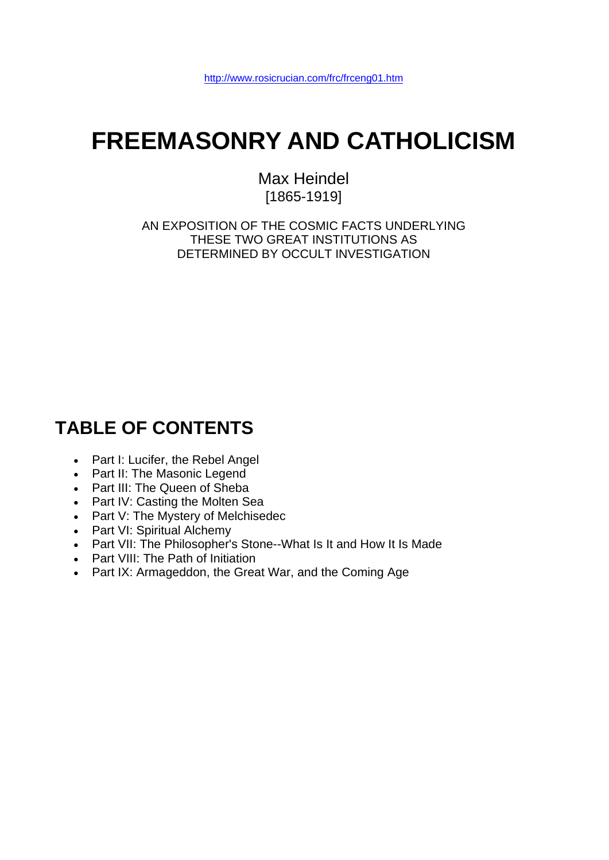# **FREEMASONRY AND CATHOLICISM**

Max Heindel [1865-1919]

AN EXPOSITION OF THE COSMIC FACTS UNDERLYING THESE TWO GREAT INSTITUTIONS AS DETERMINED BY OCCULT INVESTIGATION

# **TABLE OF CONTENTS**

- Part I: Lucifer, the Rebel Angel
- Part II: The Masonic Legend
- Part III: The Queen of Sheba
- Part IV: Casting the Molten Sea
- Part V: The Mystery of Melchisedec
- Part VI: Spiritual Alchemy
- Part VII: The Philosopher's Stone--What Is It and How It Is Made
- Part VIII: The Path of Initiation
- Part IX: Armageddon, the Great War, and the Coming Age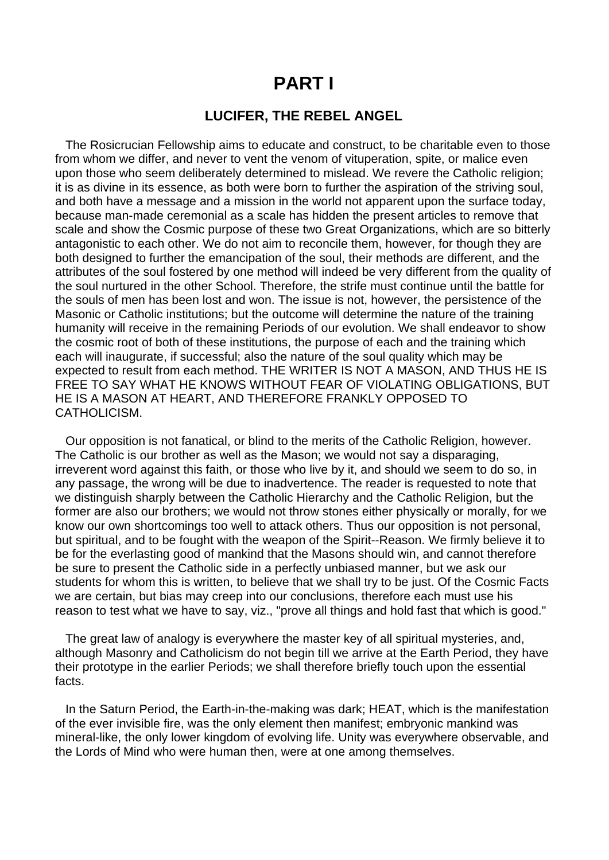# **PART I**

### **LUCIFER, THE REBEL ANGEL**

 The Rosicrucian Fellowship aims to educate and construct, to be charitable even to those from whom we differ, and never to vent the venom of vituperation, spite, or malice even upon those who seem deliberately determined to mislead. We revere the Catholic religion; it is as divine in its essence, as both were born to further the aspiration of the striving soul, and both have a message and a mission in the world not apparent upon the surface today, because man-made ceremonial as a scale has hidden the present articles to remove that scale and show the Cosmic purpose of these two Great Organizations, which are so bitterly antagonistic to each other. We do not aim to reconcile them, however, for though they are both designed to further the emancipation of the soul, their methods are different, and the attributes of the soul fostered by one method will indeed be very different from the quality of the soul nurtured in the other School. Therefore, the strife must continue until the battle for the souls of men has been lost and won. The issue is not, however, the persistence of the Masonic or Catholic institutions; but the outcome will determine the nature of the training humanity will receive in the remaining Periods of our evolution. We shall endeavor to show the cosmic root of both of these institutions, the purpose of each and the training which each will inaugurate, if successful; also the nature of the soul quality which may be expected to result from each method. THE WRITER IS NOT A MASON, AND THUS HE IS FREE TO SAY WHAT HE KNOWS WITHOUT FEAR OF VIOLATING OBLIGATIONS, BUT HE IS A MASON AT HEART, AND THEREFORE FRANKLY OPPOSED TO CATHOLICISM.

 Our opposition is not fanatical, or blind to the merits of the Catholic Religion, however. The Catholic is our brother as well as the Mason; we would not say a disparaging, irreverent word against this faith, or those who live by it, and should we seem to do so, in any passage, the wrong will be due to inadvertence. The reader is requested to note that we distinguish sharply between the Catholic Hierarchy and the Catholic Religion, but the former are also our brothers; we would not throw stones either physically or morally, for we know our own shortcomings too well to attack others. Thus our opposition is not personal, but spiritual, and to be fought with the weapon of the Spirit--Reason. We firmly believe it to be for the everlasting good of mankind that the Masons should win, and cannot therefore be sure to present the Catholic side in a perfectly unbiased manner, but we ask our students for whom this is written, to believe that we shall try to be just. Of the Cosmic Facts we are certain, but bias may creep into our conclusions, therefore each must use his reason to test what we have to say, viz., "prove all things and hold fast that which is good."

 The great law of analogy is everywhere the master key of all spiritual mysteries, and, although Masonry and Catholicism do not begin till we arrive at the Earth Period, they have their prototype in the earlier Periods; we shall therefore briefly touch upon the essential facts.

 In the Saturn Period, the Earth-in-the-making was dark; HEAT, which is the manifestation of the ever invisible fire, was the only element then manifest; embryonic mankind was mineral-like, the only lower kingdom of evolving life. Unity was everywhere observable, and the Lords of Mind who were human then, were at one among themselves.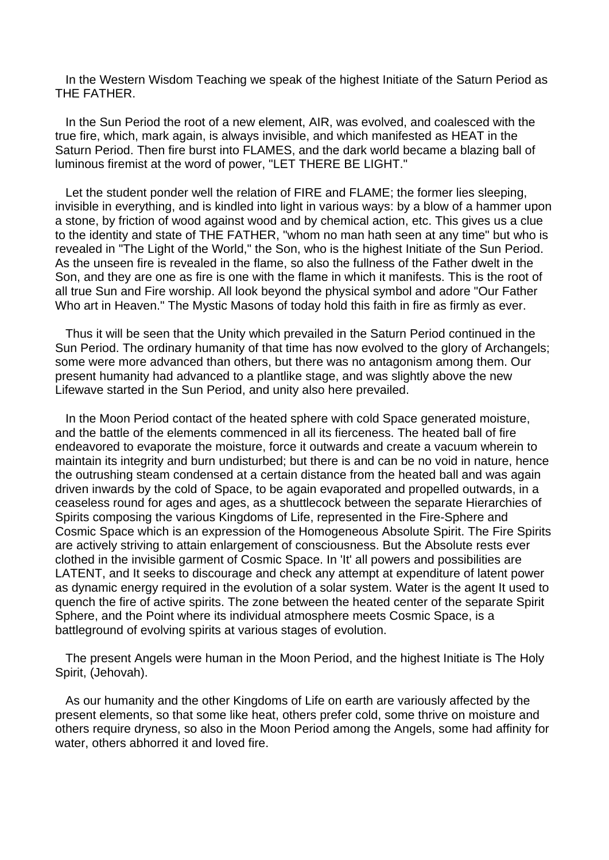In the Western Wisdom Teaching we speak of the highest Initiate of the Saturn Period as THE FATHER.

 In the Sun Period the root of a new element, AIR, was evolved, and coalesced with the true fire, which, mark again, is always invisible, and which manifested as HEAT in the Saturn Period. Then fire burst into FLAMES, and the dark world became a blazing ball of luminous firemist at the word of power, "LET THERE BE LIGHT."

 Let the student ponder well the relation of FIRE and FLAME; the former lies sleeping, invisible in everything, and is kindled into light in various ways: by a blow of a hammer upon a stone, by friction of wood against wood and by chemical action, etc. This gives us a clue to the identity and state of THE FATHER, "whom no man hath seen at any time" but who is revealed in "The Light of the World," the Son, who is the highest Initiate of the Sun Period. As the unseen fire is revealed in the flame, so also the fullness of the Father dwelt in the Son, and they are one as fire is one with the flame in which it manifests. This is the root of all true Sun and Fire worship. All look beyond the physical symbol and adore "Our Father Who art in Heaven." The Mystic Masons of today hold this faith in fire as firmly as ever.

 Thus it will be seen that the Unity which prevailed in the Saturn Period continued in the Sun Period. The ordinary humanity of that time has now evolved to the glory of Archangels; some were more advanced than others, but there was no antagonism among them. Our present humanity had advanced to a plantlike stage, and was slightly above the new Lifewave started in the Sun Period, and unity also here prevailed.

 In the Moon Period contact of the heated sphere with cold Space generated moisture, and the battle of the elements commenced in all its fierceness. The heated ball of fire endeavored to evaporate the moisture, force it outwards and create a vacuum wherein to maintain its integrity and burn undisturbed; but there is and can be no void in nature, hence the outrushing steam condensed at a certain distance from the heated ball and was again driven inwards by the cold of Space, to be again evaporated and propelled outwards, in a ceaseless round for ages and ages, as a shuttlecock between the separate Hierarchies of Spirits composing the various Kingdoms of Life, represented in the Fire-Sphere and Cosmic Space which is an expression of the Homogeneous Absolute Spirit. The Fire Spirits are actively striving to attain enlargement of consciousness. But the Absolute rests ever clothed in the invisible garment of Cosmic Space. In 'It' all powers and possibilities are LATENT, and It seeks to discourage and check any attempt at expenditure of latent power as dynamic energy required in the evolution of a solar system. Water is the agent It used to quench the fire of active spirits. The zone between the heated center of the separate Spirit Sphere, and the Point where its individual atmosphere meets Cosmic Space, is a battleground of evolving spirits at various stages of evolution.

 The present Angels were human in the Moon Period, and the highest Initiate is The Holy Spirit, (Jehovah).

 As our humanity and the other Kingdoms of Life on earth are variously affected by the present elements, so that some like heat, others prefer cold, some thrive on moisture and others require dryness, so also in the Moon Period among the Angels, some had affinity for water, others abhorred it and loved fire.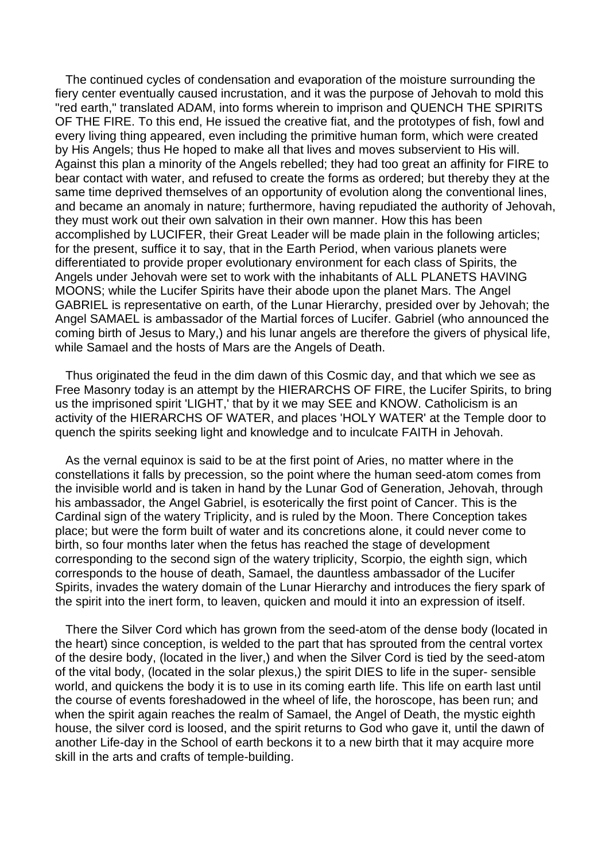The continued cycles of condensation and evaporation of the moisture surrounding the fiery center eventually caused incrustation, and it was the purpose of Jehovah to mold this "red earth," translated ADAM, into forms wherein to imprison and QUENCH THE SPIRITS OF THE FIRE. To this end, He issued the creative fiat, and the prototypes of fish, fowl and every living thing appeared, even including the primitive human form, which were created by His Angels; thus He hoped to make all that lives and moves subservient to His will. Against this plan a minority of the Angels rebelled; they had too great an affinity for FIRE to bear contact with water, and refused to create the forms as ordered; but thereby they at the same time deprived themselves of an opportunity of evolution along the conventional lines, and became an anomaly in nature; furthermore, having repudiated the authority of Jehovah, they must work out their own salvation in their own manner. How this has been accomplished by LUCIFER, their Great Leader will be made plain in the following articles; for the present, suffice it to say, that in the Earth Period, when various planets were differentiated to provide proper evolutionary environment for each class of Spirits, the Angels under Jehovah were set to work with the inhabitants of ALL PLANETS HAVING MOONS; while the Lucifer Spirits have their abode upon the planet Mars. The Angel GABRIEL is representative on earth, of the Lunar Hierarchy, presided over by Jehovah; the Angel SAMAEL is ambassador of the Martial forces of Lucifer. Gabriel (who announced the coming birth of Jesus to Mary,) and his lunar angels are therefore the givers of physical life, while Samael and the hosts of Mars are the Angels of Death.

 Thus originated the feud in the dim dawn of this Cosmic day, and that which we see as Free Masonry today is an attempt by the HIERARCHS OF FIRE, the Lucifer Spirits, to bring us the imprisoned spirit 'LIGHT,' that by it we may SEE and KNOW. Catholicism is an activity of the HIERARCHS OF WATER, and places 'HOLY WATER' at the Temple door to quench the spirits seeking light and knowledge and to inculcate FAITH in Jehovah.

 As the vernal equinox is said to be at the first point of Aries, no matter where in the constellations it falls by precession, so the point where the human seed-atom comes from the invisible world and is taken in hand by the Lunar God of Generation, Jehovah, through his ambassador, the Angel Gabriel, is esoterically the first point of Cancer. This is the Cardinal sign of the watery Triplicity, and is ruled by the Moon. There Conception takes place; but were the form built of water and its concretions alone, it could never come to birth, so four months later when the fetus has reached the stage of development corresponding to the second sign of the watery triplicity, Scorpio, the eighth sign, which corresponds to the house of death, Samael, the dauntless ambassador of the Lucifer Spirits, invades the watery domain of the Lunar Hierarchy and introduces the fiery spark of the spirit into the inert form, to leaven, quicken and mould it into an expression of itself.

 There the Silver Cord which has grown from the seed-atom of the dense body (located in the heart) since conception, is welded to the part that has sprouted from the central vortex of the desire body, (located in the liver,) and when the Silver Cord is tied by the seed-atom of the vital body, (located in the solar plexus,) the spirit DIES to life in the super- sensible world, and quickens the body it is to use in its coming earth life. This life on earth last until the course of events foreshadowed in the wheel of life, the horoscope, has been run; and when the spirit again reaches the realm of Samael, the Angel of Death, the mystic eighth house, the silver cord is loosed, and the spirit returns to God who gave it, until the dawn of another Life-day in the School of earth beckons it to a new birth that it may acquire more skill in the arts and crafts of temple-building.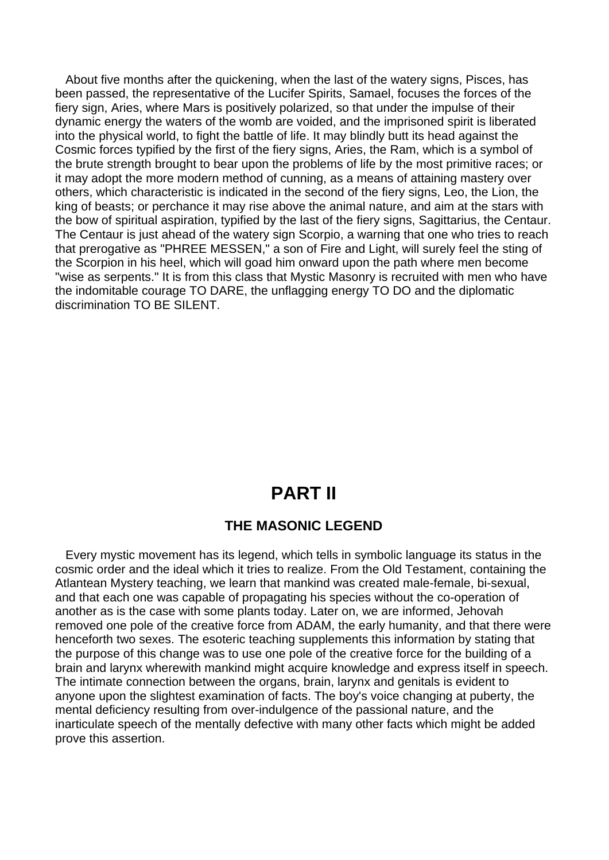About five months after the quickening, when the last of the watery signs, Pisces, has been passed, the representative of the Lucifer Spirits, Samael, focuses the forces of the fiery sign, Aries, where Mars is positively polarized, so that under the impulse of their dynamic energy the waters of the womb are voided, and the imprisoned spirit is liberated into the physical world, to fight the battle of life. It may blindly butt its head against the Cosmic forces typified by the first of the fiery signs, Aries, the Ram, which is a symbol of the brute strength brought to bear upon the problems of life by the most primitive races; or it may adopt the more modern method of cunning, as a means of attaining mastery over others, which characteristic is indicated in the second of the fiery signs, Leo, the Lion, the king of beasts; or perchance it may rise above the animal nature, and aim at the stars with the bow of spiritual aspiration, typified by the last of the fiery signs, Sagittarius, the Centaur. The Centaur is just ahead of the watery sign Scorpio, a warning that one who tries to reach that prerogative as "PHREE MESSEN," a son of Fire and Light, will surely feel the sting of the Scorpion in his heel, which will goad him onward upon the path where men become "wise as serpents." It is from this class that Mystic Masonry is recruited with men who have the indomitable courage TO DARE, the unflagging energy TO DO and the diplomatic discrimination TO BE SILENT.

# **PART II**

### **THE MASONIC LEGEND**

 Every mystic movement has its legend, which tells in symbolic language its status in the cosmic order and the ideal which it tries to realize. From the Old Testament, containing the Atlantean Mystery teaching, we learn that mankind was created male-female, bi-sexual, and that each one was capable of propagating his species without the co-operation of another as is the case with some plants today. Later on, we are informed, Jehovah removed one pole of the creative force from ADAM, the early humanity, and that there were henceforth two sexes. The esoteric teaching supplements this information by stating that the purpose of this change was to use one pole of the creative force for the building of a brain and larynx wherewith mankind might acquire knowledge and express itself in speech. The intimate connection between the organs, brain, larynx and genitals is evident to anyone upon the slightest examination of facts. The boy's voice changing at puberty, the mental deficiency resulting from over-indulgence of the passional nature, and the inarticulate speech of the mentally defective with many other facts which might be added prove this assertion.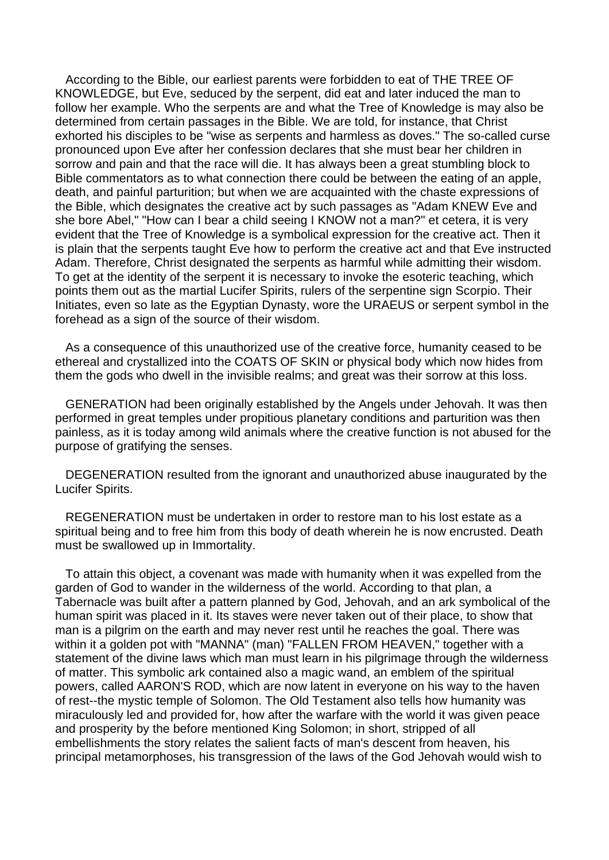According to the Bible, our earliest parents were forbidden to eat of THE TREE OF KNOWLEDGE, but Eve, seduced by the serpent, did eat and later induced the man to follow her example. Who the serpents are and what the Tree of Knowledge is may also be determined from certain passages in the Bible. We are told, for instance, that Christ exhorted his disciples to be "wise as serpents and harmless as doves." The so-called curse pronounced upon Eve after her confession declares that she must bear her children in sorrow and pain and that the race will die. It has always been a great stumbling block to Bible commentators as to what connection there could be between the eating of an apple, death, and painful parturition; but when we are acquainted with the chaste expressions of the Bible, which designates the creative act by such passages as "Adam KNEW Eve and she bore Abel," "How can I bear a child seeing I KNOW not a man?" et cetera, it is very evident that the Tree of Knowledge is a symbolical expression for the creative act. Then it is plain that the serpents taught Eve how to perform the creative act and that Eve instructed Adam. Therefore, Christ designated the serpents as harmful while admitting their wisdom. To get at the identity of the serpent it is necessary to invoke the esoteric teaching, which points them out as the martial Lucifer Spirits, rulers of the serpentine sign Scorpio. Their Initiates, even so late as the Egyptian Dynasty, wore the URAEUS or serpent symbol in the forehead as a sign of the source of their wisdom.

 As a consequence of this unauthorized use of the creative force, humanity ceased to be ethereal and crystallized into the COATS OF SKIN or physical body which now hides from them the gods who dwell in the invisible realms; and great was their sorrow at this loss.

 GENERATION had been originally established by the Angels under Jehovah. It was then performed in great temples under propitious planetary conditions and parturition was then painless, as it is today among wild animals where the creative function is not abused for the purpose of gratifying the senses.

 DEGENERATION resulted from the ignorant and unauthorized abuse inaugurated by the Lucifer Spirits.

 REGENERATION must be undertaken in order to restore man to his lost estate as a spiritual being and to free him from this body of death wherein he is now encrusted. Death must be swallowed up in Immortality.

 To attain this object, a covenant was made with humanity when it was expelled from the garden of God to wander in the wilderness of the world. According to that plan, a Tabernacle was built after a pattern planned by God, Jehovah, and an ark symbolical of the human spirit was placed in it. Its staves were never taken out of their place, to show that man is a pilgrim on the earth and may never rest until he reaches the goal. There was within it a golden pot with "MANNA" (man) "FALLEN FROM HEAVEN," together with a statement of the divine laws which man must learn in his pilgrimage through the wilderness of matter. This symbolic ark contained also a magic wand, an emblem of the spiritual powers, called AARON'S ROD, which are now latent in everyone on his way to the haven of rest--the mystic temple of Solomon. The Old Testament also tells how humanity was miraculously led and provided for, how after the warfare with the world it was given peace and prosperity by the before mentioned King Solomon; in short, stripped of all embellishments the story relates the salient facts of man's descent from heaven, his principal metamorphoses, his transgression of the laws of the God Jehovah would wish to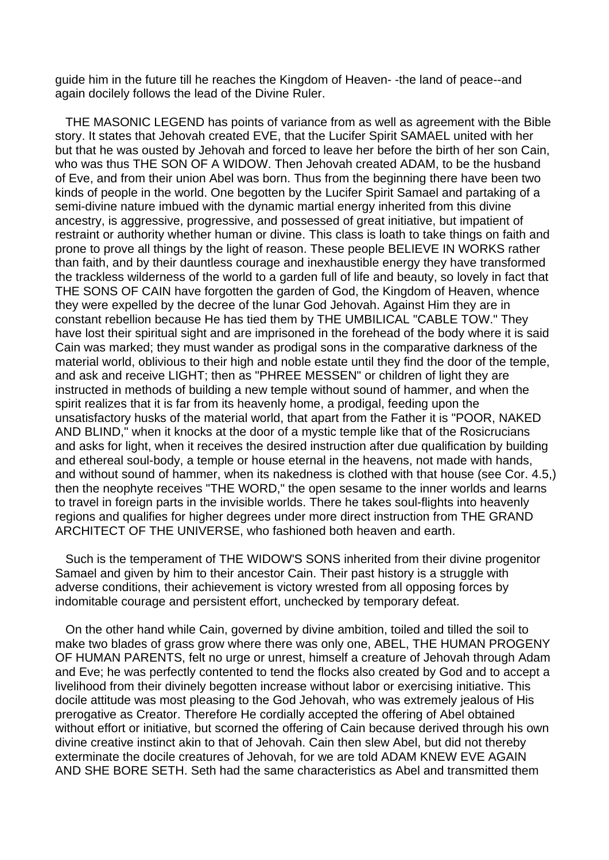guide him in the future till he reaches the Kingdom of Heaven- -the land of peace--and again docilely follows the lead of the Divine Ruler.

 THE MASONIC LEGEND has points of variance from as well as agreement with the Bible story. It states that Jehovah created EVE, that the Lucifer Spirit SAMAEL united with her but that he was ousted by Jehovah and forced to leave her before the birth of her son Cain, who was thus THE SON OF A WIDOW. Then Jehovah created ADAM, to be the husband of Eve, and from their union Abel was born. Thus from the beginning there have been two kinds of people in the world. One begotten by the Lucifer Spirit Samael and partaking of a semi-divine nature imbued with the dynamic martial energy inherited from this divine ancestry, is aggressive, progressive, and possessed of great initiative, but impatient of restraint or authority whether human or divine. This class is loath to take things on faith and prone to prove all things by the light of reason. These people BELIEVE IN WORKS rather than faith, and by their dauntless courage and inexhaustible energy they have transformed the trackless wilderness of the world to a garden full of life and beauty, so lovely in fact that THE SONS OF CAIN have forgotten the garden of God, the Kingdom of Heaven, whence they were expelled by the decree of the lunar God Jehovah. Against Him they are in constant rebellion because He has tied them by THE UMBILICAL "CABLE TOW." They have lost their spiritual sight and are imprisoned in the forehead of the body where it is said Cain was marked; they must wander as prodigal sons in the comparative darkness of the material world, oblivious to their high and noble estate until they find the door of the temple, and ask and receive LIGHT; then as "PHREE MESSEN" or children of light they are instructed in methods of building a new temple without sound of hammer, and when the spirit realizes that it is far from its heavenly home, a prodigal, feeding upon the unsatisfactory husks of the material world, that apart from the Father it is "POOR, NAKED AND BLIND," when it knocks at the door of a mystic temple like that of the Rosicrucians and asks for light, when it receives the desired instruction after due qualification by building and ethereal soul-body, a temple or house eternal in the heavens, not made with hands, and without sound of hammer, when its nakedness is clothed with that house (see Cor. 4.5,) then the neophyte receives "THE WORD," the open sesame to the inner worlds and learns to travel in foreign parts in the invisible worlds. There he takes soul-flights into heavenly regions and qualifies for higher degrees under more direct instruction from THE GRAND ARCHITECT OF THE UNIVERSE, who fashioned both heaven and earth.

 Such is the temperament of THE WIDOW'S SONS inherited from their divine progenitor Samael and given by him to their ancestor Cain. Their past history is a struggle with adverse conditions, their achievement is victory wrested from all opposing forces by indomitable courage and persistent effort, unchecked by temporary defeat.

 On the other hand while Cain, governed by divine ambition, toiled and tilled the soil to make two blades of grass grow where there was only one, ABEL, THE HUMAN PROGENY OF HUMAN PARENTS, felt no urge or unrest, himself a creature of Jehovah through Adam and Eve; he was perfectly contented to tend the flocks also created by God and to accept a livelihood from their divinely begotten increase without labor or exercising initiative. This docile attitude was most pleasing to the God Jehovah, who was extremely jealous of His prerogative as Creator. Therefore He cordially accepted the offering of Abel obtained without effort or initiative, but scorned the offering of Cain because derived through his own divine creative instinct akin to that of Jehovah. Cain then slew Abel, but did not thereby exterminate the docile creatures of Jehovah, for we are told ADAM KNEW EVE AGAIN AND SHE BORE SETH. Seth had the same characteristics as Abel and transmitted them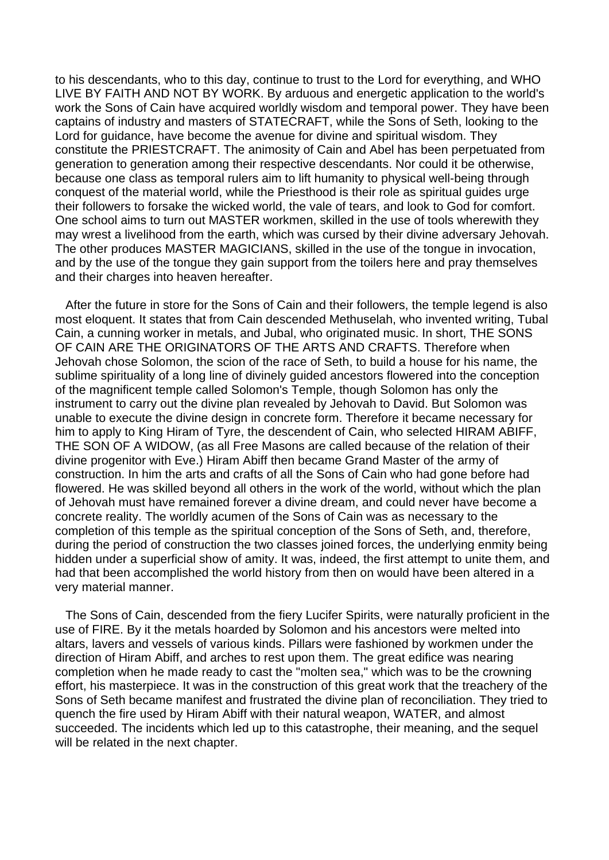to his descendants, who to this day, continue to trust to the Lord for everything, and WHO LIVE BY FAITH AND NOT BY WORK. By arduous and energetic application to the world's work the Sons of Cain have acquired worldly wisdom and temporal power. They have been captains of industry and masters of STATECRAFT, while the Sons of Seth, looking to the Lord for guidance, have become the avenue for divine and spiritual wisdom. They constitute the PRIESTCRAFT. The animosity of Cain and Abel has been perpetuated from generation to generation among their respective descendants. Nor could it be otherwise, because one class as temporal rulers aim to lift humanity to physical well-being through conquest of the material world, while the Priesthood is their role as spiritual guides urge their followers to forsake the wicked world, the vale of tears, and look to God for comfort. One school aims to turn out MASTER workmen, skilled in the use of tools wherewith they may wrest a livelihood from the earth, which was cursed by their divine adversary Jehovah. The other produces MASTER MAGICIANS, skilled in the use of the tongue in invocation, and by the use of the tongue they gain support from the toilers here and pray themselves and their charges into heaven hereafter.

 After the future in store for the Sons of Cain and their followers, the temple legend is also most eloquent. It states that from Cain descended Methuselah, who invented writing, Tubal Cain, a cunning worker in metals, and Jubal, who originated music. In short, THE SONS OF CAIN ARE THE ORIGINATORS OF THE ARTS AND CRAFTS. Therefore when Jehovah chose Solomon, the scion of the race of Seth, to build a house for his name, the sublime spirituality of a long line of divinely guided ancestors flowered into the conception of the magnificent temple called Solomon's Temple, though Solomon has only the instrument to carry out the divine plan revealed by Jehovah to David. But Solomon was unable to execute the divine design in concrete form. Therefore it became necessary for him to apply to King Hiram of Tyre, the descendent of Cain, who selected HIRAM ABIFF, THE SON OF A WIDOW, (as all Free Masons are called because of the relation of their divine progenitor with Eve.) Hiram Abiff then became Grand Master of the army of construction. In him the arts and crafts of all the Sons of Cain who had gone before had flowered. He was skilled beyond all others in the work of the world, without which the plan of Jehovah must have remained forever a divine dream, and could never have become a concrete reality. The worldly acumen of the Sons of Cain was as necessary to the completion of this temple as the spiritual conception of the Sons of Seth, and, therefore, during the period of construction the two classes joined forces, the underlying enmity being hidden under a superficial show of amity. It was, indeed, the first attempt to unite them, and had that been accomplished the world history from then on would have been altered in a very material manner.

 The Sons of Cain, descended from the fiery Lucifer Spirits, were naturally proficient in the use of FIRE. By it the metals hoarded by Solomon and his ancestors were melted into altars, lavers and vessels of various kinds. Pillars were fashioned by workmen under the direction of Hiram Abiff, and arches to rest upon them. The great edifice was nearing completion when he made ready to cast the "molten sea," which was to be the crowning effort, his masterpiece. It was in the construction of this great work that the treachery of the Sons of Seth became manifest and frustrated the divine plan of reconciliation. They tried to quench the fire used by Hiram Abiff with their natural weapon, WATER, and almost succeeded. The incidents which led up to this catastrophe, their meaning, and the sequel will be related in the next chapter.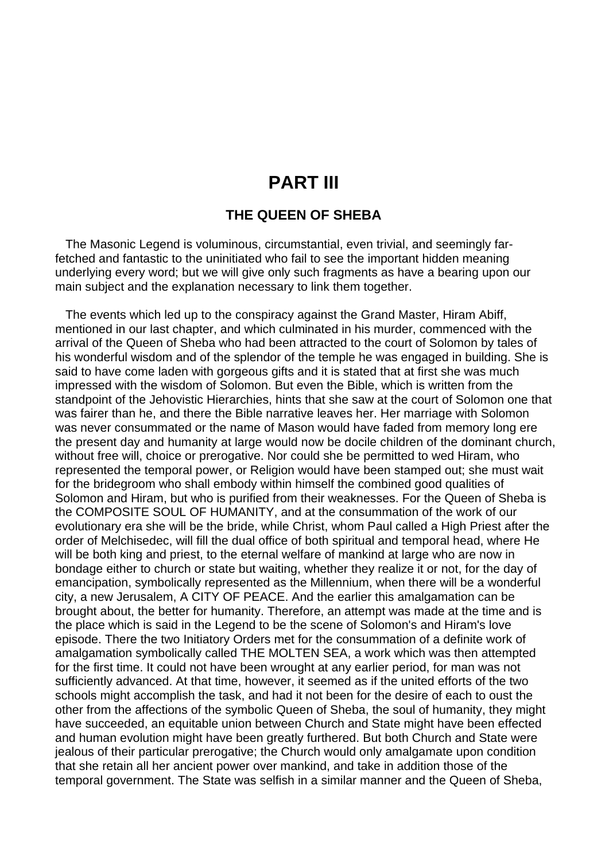### **PART III**

### **THE QUEEN OF SHEBA**

 The Masonic Legend is voluminous, circumstantial, even trivial, and seemingly farfetched and fantastic to the uninitiated who fail to see the important hidden meaning underlying every word; but we will give only such fragments as have a bearing upon our main subject and the explanation necessary to link them together.

 The events which led up to the conspiracy against the Grand Master, Hiram Abiff, mentioned in our last chapter, and which culminated in his murder, commenced with the arrival of the Queen of Sheba who had been attracted to the court of Solomon by tales of his wonderful wisdom and of the splendor of the temple he was engaged in building. She is said to have come laden with gorgeous gifts and it is stated that at first she was much impressed with the wisdom of Solomon. But even the Bible, which is written from the standpoint of the Jehovistic Hierarchies, hints that she saw at the court of Solomon one that was fairer than he, and there the Bible narrative leaves her. Her marriage with Solomon was never consummated or the name of Mason would have faded from memory long ere the present day and humanity at large would now be docile children of the dominant church, without free will, choice or prerogative. Nor could she be permitted to wed Hiram, who represented the temporal power, or Religion would have been stamped out; she must wait for the bridegroom who shall embody within himself the combined good qualities of Solomon and Hiram, but who is purified from their weaknesses. For the Queen of Sheba is the COMPOSITE SOUL OF HUMANITY, and at the consummation of the work of our evolutionary era she will be the bride, while Christ, whom Paul called a High Priest after the order of Melchisedec, will fill the dual office of both spiritual and temporal head, where He will be both king and priest, to the eternal welfare of mankind at large who are now in bondage either to church or state but waiting, whether they realize it or not, for the day of emancipation, symbolically represented as the Millennium, when there will be a wonderful city, a new Jerusalem, A CITY OF PEACE. And the earlier this amalgamation can be brought about, the better for humanity. Therefore, an attempt was made at the time and is the place which is said in the Legend to be the scene of Solomon's and Hiram's love episode. There the two Initiatory Orders met for the consummation of a definite work of amalgamation symbolically called THE MOLTEN SEA, a work which was then attempted for the first time. It could not have been wrought at any earlier period, for man was not sufficiently advanced. At that time, however, it seemed as if the united efforts of the two schools might accomplish the task, and had it not been for the desire of each to oust the other from the affections of the symbolic Queen of Sheba, the soul of humanity, they might have succeeded, an equitable union between Church and State might have been effected and human evolution might have been greatly furthered. But both Church and State were jealous of their particular prerogative; the Church would only amalgamate upon condition that she retain all her ancient power over mankind, and take in addition those of the temporal government. The State was selfish in a similar manner and the Queen of Sheba,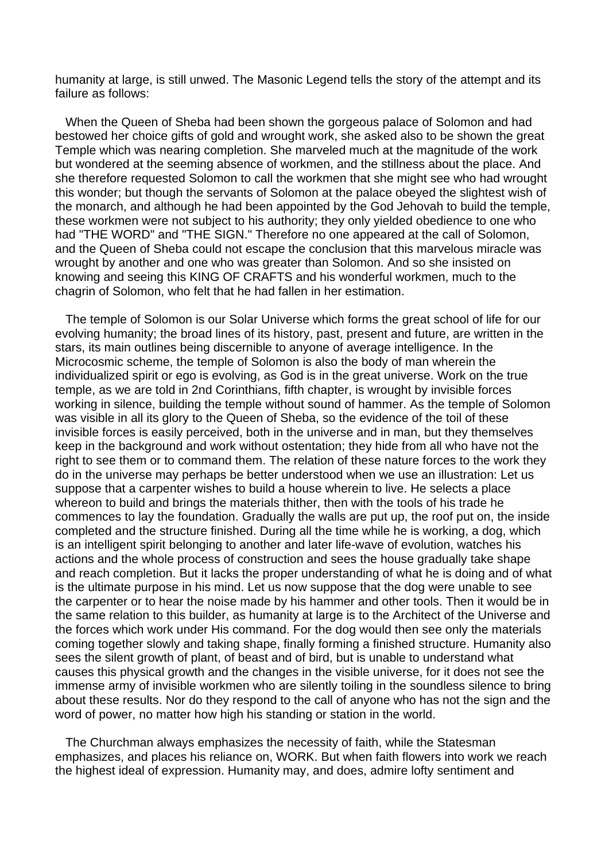humanity at large, is still unwed. The Masonic Legend tells the story of the attempt and its failure as follows:

 When the Queen of Sheba had been shown the gorgeous palace of Solomon and had bestowed her choice gifts of gold and wrought work, she asked also to be shown the great Temple which was nearing completion. She marveled much at the magnitude of the work but wondered at the seeming absence of workmen, and the stillness about the place. And she therefore requested Solomon to call the workmen that she might see who had wrought this wonder; but though the servants of Solomon at the palace obeyed the slightest wish of the monarch, and although he had been appointed by the God Jehovah to build the temple, these workmen were not subject to his authority; they only yielded obedience to one who had "THE WORD" and "THE SIGN." Therefore no one appeared at the call of Solomon, and the Queen of Sheba could not escape the conclusion that this marvelous miracle was wrought by another and one who was greater than Solomon. And so she insisted on knowing and seeing this KING OF CRAFTS and his wonderful workmen, much to the chagrin of Solomon, who felt that he had fallen in her estimation.

 The temple of Solomon is our Solar Universe which forms the great school of life for our evolving humanity; the broad lines of its history, past, present and future, are written in the stars, its main outlines being discernible to anyone of average intelligence. In the Microcosmic scheme, the temple of Solomon is also the body of man wherein the individualized spirit or ego is evolving, as God is in the great universe. Work on the true temple, as we are told in 2nd Corinthians, fifth chapter, is wrought by invisible forces working in silence, building the temple without sound of hammer. As the temple of Solomon was visible in all its glory to the Queen of Sheba, so the evidence of the toil of these invisible forces is easily perceived, both in the universe and in man, but they themselves keep in the background and work without ostentation; they hide from all who have not the right to see them or to command them. The relation of these nature forces to the work they do in the universe may perhaps be better understood when we use an illustration: Let us suppose that a carpenter wishes to build a house wherein to live. He selects a place whereon to build and brings the materials thither, then with the tools of his trade he commences to lay the foundation. Gradually the walls are put up, the roof put on, the inside completed and the structure finished. During all the time while he is working, a dog, which is an intelligent spirit belonging to another and later life-wave of evolution, watches his actions and the whole process of construction and sees the house gradually take shape and reach completion. But it lacks the proper understanding of what he is doing and of what is the ultimate purpose in his mind. Let us now suppose that the dog were unable to see the carpenter or to hear the noise made by his hammer and other tools. Then it would be in the same relation to this builder, as humanity at large is to the Architect of the Universe and the forces which work under His command. For the dog would then see only the materials coming together slowly and taking shape, finally forming a finished structure. Humanity also sees the silent growth of plant, of beast and of bird, but is unable to understand what causes this physical growth and the changes in the visible universe, for it does not see the immense army of invisible workmen who are silently toiling in the soundless silence to bring about these results. Nor do they respond to the call of anyone who has not the sign and the word of power, no matter how high his standing or station in the world.

 The Churchman always emphasizes the necessity of faith, while the Statesman emphasizes, and places his reliance on, WORK. But when faith flowers into work we reach the highest ideal of expression. Humanity may, and does, admire lofty sentiment and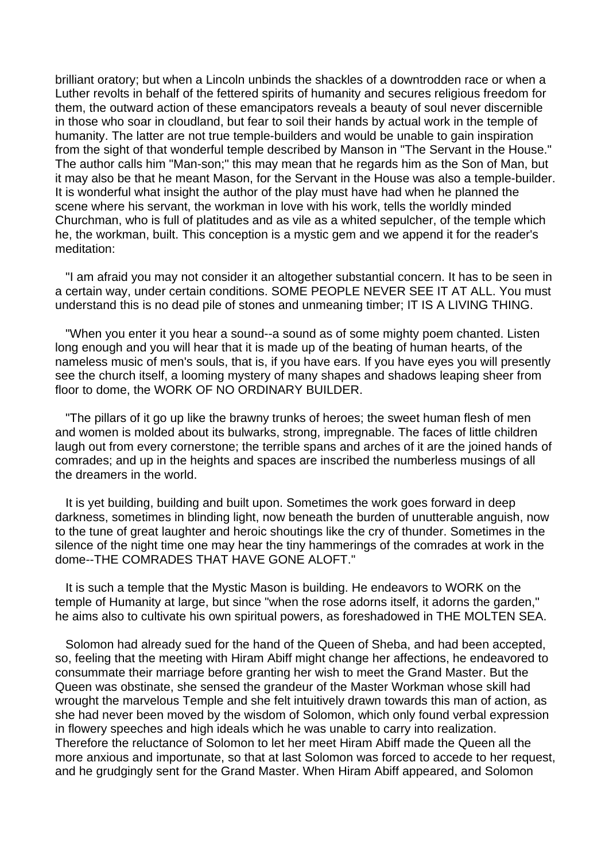brilliant oratory; but when a Lincoln unbinds the shackles of a downtrodden race or when a Luther revolts in behalf of the fettered spirits of humanity and secures religious freedom for them, the outward action of these emancipators reveals a beauty of soul never discernible in those who soar in cloudland, but fear to soil their hands by actual work in the temple of humanity. The latter are not true temple-builders and would be unable to gain inspiration from the sight of that wonderful temple described by Manson in "The Servant in the House." The author calls him "Man-son;" this may mean that he regards him as the Son of Man, but it may also be that he meant Mason, for the Servant in the House was also a temple-builder. It is wonderful what insight the author of the play must have had when he planned the scene where his servant, the workman in love with his work, tells the worldly minded Churchman, who is full of platitudes and as vile as a whited sepulcher, of the temple which he, the workman, built. This conception is a mystic gem and we append it for the reader's meditation:

 "I am afraid you may not consider it an altogether substantial concern. It has to be seen in a certain way, under certain conditions. SOME PEOPLE NEVER SEE IT AT ALL. You must understand this is no dead pile of stones and unmeaning timber; IT IS A LIVING THING.

 "When you enter it you hear a sound--a sound as of some mighty poem chanted. Listen long enough and you will hear that it is made up of the beating of human hearts, of the nameless music of men's souls, that is, if you have ears. If you have eyes you will presently see the church itself, a looming mystery of many shapes and shadows leaping sheer from floor to dome, the WORK OF NO ORDINARY BUILDER.

 "The pillars of it go up like the brawny trunks of heroes; the sweet human flesh of men and women is molded about its bulwarks, strong, impregnable. The faces of little children laugh out from every cornerstone; the terrible spans and arches of it are the joined hands of comrades; and up in the heights and spaces are inscribed the numberless musings of all the dreamers in the world.

 It is yet building, building and built upon. Sometimes the work goes forward in deep darkness, sometimes in blinding light, now beneath the burden of unutterable anguish, now to the tune of great laughter and heroic shoutings like the cry of thunder. Sometimes in the silence of the night time one may hear the tiny hammerings of the comrades at work in the dome--THE COMRADES THAT HAVE GONE ALOFT."

 It is such a temple that the Mystic Mason is building. He endeavors to WORK on the temple of Humanity at large, but since "when the rose adorns itself, it adorns the garden," he aims also to cultivate his own spiritual powers, as foreshadowed in THE MOLTEN SEA.

 Solomon had already sued for the hand of the Queen of Sheba, and had been accepted, so, feeling that the meeting with Hiram Abiff might change her affections, he endeavored to consummate their marriage before granting her wish to meet the Grand Master. But the Queen was obstinate, she sensed the grandeur of the Master Workman whose skill had wrought the marvelous Temple and she felt intuitively drawn towards this man of action, as she had never been moved by the wisdom of Solomon, which only found verbal expression in flowery speeches and high ideals which he was unable to carry into realization. Therefore the reluctance of Solomon to let her meet Hiram Abiff made the Queen all the more anxious and importunate, so that at last Solomon was forced to accede to her request, and he grudgingly sent for the Grand Master. When Hiram Abiff appeared, and Solomon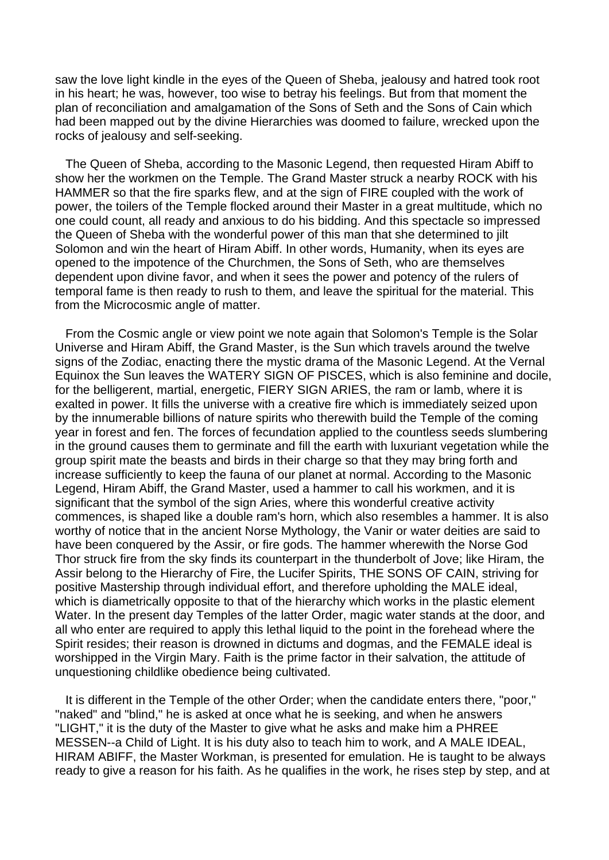saw the love light kindle in the eyes of the Queen of Sheba, jealousy and hatred took root in his heart; he was, however, too wise to betray his feelings. But from that moment the plan of reconciliation and amalgamation of the Sons of Seth and the Sons of Cain which had been mapped out by the divine Hierarchies was doomed to failure, wrecked upon the rocks of jealousy and self-seeking.

 The Queen of Sheba, according to the Masonic Legend, then requested Hiram Abiff to show her the workmen on the Temple. The Grand Master struck a nearby ROCK with his HAMMER so that the fire sparks flew, and at the sign of FIRE coupled with the work of power, the toilers of the Temple flocked around their Master in a great multitude, which no one could count, all ready and anxious to do his bidding. And this spectacle so impressed the Queen of Sheba with the wonderful power of this man that she determined to jilt Solomon and win the heart of Hiram Abiff. In other words, Humanity, when its eyes are opened to the impotence of the Churchmen, the Sons of Seth, who are themselves dependent upon divine favor, and when it sees the power and potency of the rulers of temporal fame is then ready to rush to them, and leave the spiritual for the material. This from the Microcosmic angle of matter.

 From the Cosmic angle or view point we note again that Solomon's Temple is the Solar Universe and Hiram Abiff, the Grand Master, is the Sun which travels around the twelve signs of the Zodiac, enacting there the mystic drama of the Masonic Legend. At the Vernal Equinox the Sun leaves the WATERY SIGN OF PISCES, which is also feminine and docile, for the belligerent, martial, energetic, FIERY SIGN ARIES, the ram or lamb, where it is exalted in power. It fills the universe with a creative fire which is immediately seized upon by the innumerable billions of nature spirits who therewith build the Temple of the coming year in forest and fen. The forces of fecundation applied to the countless seeds slumbering in the ground causes them to germinate and fill the earth with luxuriant vegetation while the group spirit mate the beasts and birds in their charge so that they may bring forth and increase sufficiently to keep the fauna of our planet at normal. According to the Masonic Legend, Hiram Abiff, the Grand Master, used a hammer to call his workmen, and it is significant that the symbol of the sign Aries, where this wonderful creative activity commences, is shaped like a double ram's horn, which also resembles a hammer. It is also worthy of notice that in the ancient Norse Mythology, the Vanir or water deities are said to have been conquered by the Assir, or fire gods. The hammer wherewith the Norse God Thor struck fire from the sky finds its counterpart in the thunderbolt of Jove; like Hiram, the Assir belong to the Hierarchy of Fire, the Lucifer Spirits, THE SONS OF CAIN, striving for positive Mastership through individual effort, and therefore upholding the MALE ideal, which is diametrically opposite to that of the hierarchy which works in the plastic element Water. In the present day Temples of the latter Order, magic water stands at the door, and all who enter are required to apply this lethal liquid to the point in the forehead where the Spirit resides; their reason is drowned in dictums and dogmas, and the FEMALE ideal is worshipped in the Virgin Mary. Faith is the prime factor in their salvation, the attitude of unquestioning childlike obedience being cultivated.

 It is different in the Temple of the other Order; when the candidate enters there, "poor," "naked" and "blind," he is asked at once what he is seeking, and when he answers "LIGHT," it is the duty of the Master to give what he asks and make him a PHREE MESSEN--a Child of Light. It is his duty also to teach him to work, and A MALE IDEAL, HIRAM ABIFF, the Master Workman, is presented for emulation. He is taught to be always ready to give a reason for his faith. As he qualifies in the work, he rises step by step, and at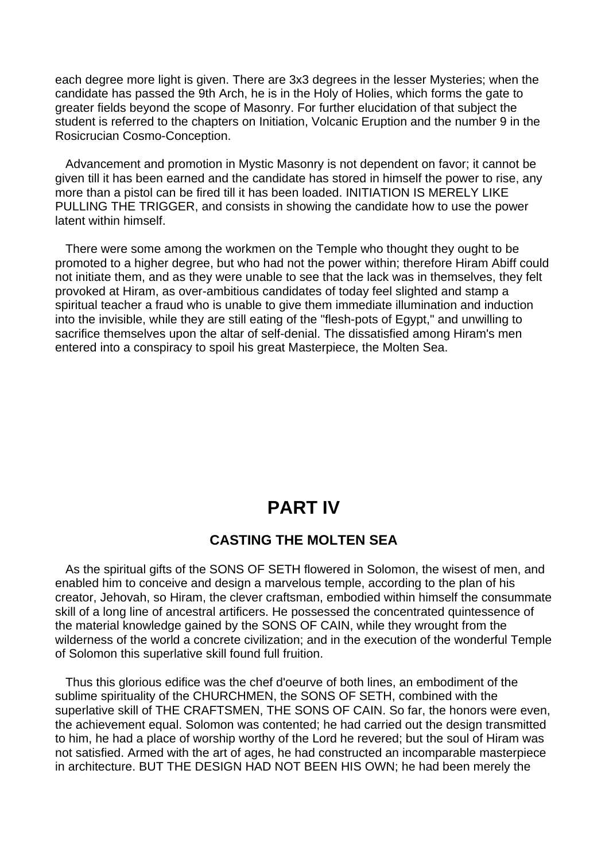each degree more light is given. There are 3x3 degrees in the lesser Mysteries; when the candidate has passed the 9th Arch, he is in the Holy of Holies, which forms the gate to greater fields beyond the scope of Masonry. For further elucidation of that subject the student is referred to the chapters on Initiation, Volcanic Eruption and the number 9 in the Rosicrucian Cosmo-Conception.

 Advancement and promotion in Mystic Masonry is not dependent on favor; it cannot be given till it has been earned and the candidate has stored in himself the power to rise, any more than a pistol can be fired till it has been loaded. INITIATION IS MERELY LIKE PULLING THE TRIGGER, and consists in showing the candidate how to use the power latent within himself.

 There were some among the workmen on the Temple who thought they ought to be promoted to a higher degree, but who had not the power within; therefore Hiram Abiff could not initiate them, and as they were unable to see that the lack was in themselves, they felt provoked at Hiram, as over-ambitious candidates of today feel slighted and stamp a spiritual teacher a fraud who is unable to give them immediate illumination and induction into the invisible, while they are still eating of the "flesh-pots of Egypt," and unwilling to sacrifice themselves upon the altar of self-denial. The dissatisfied among Hiram's men entered into a conspiracy to spoil his great Masterpiece, the Molten Sea.

# **PART IV**

### **CASTING THE MOLTEN SEA**

 As the spiritual gifts of the SONS OF SETH flowered in Solomon, the wisest of men, and enabled him to conceive and design a marvelous temple, according to the plan of his creator, Jehovah, so Hiram, the clever craftsman, embodied within himself the consummate skill of a long line of ancestral artificers. He possessed the concentrated quintessence of the material knowledge gained by the SONS OF CAIN, while they wrought from the wilderness of the world a concrete civilization; and in the execution of the wonderful Temple of Solomon this superlative skill found full fruition.

 Thus this glorious edifice was the chef d'oeurve of both lines, an embodiment of the sublime spirituality of the CHURCHMEN, the SONS OF SETH, combined with the superlative skill of THE CRAFTSMEN, THE SONS OF CAIN. So far, the honors were even, the achievement equal. Solomon was contented; he had carried out the design transmitted to him, he had a place of worship worthy of the Lord he revered; but the soul of Hiram was not satisfied. Armed with the art of ages, he had constructed an incomparable masterpiece in architecture. BUT THE DESIGN HAD NOT BEEN HIS OWN; he had been merely the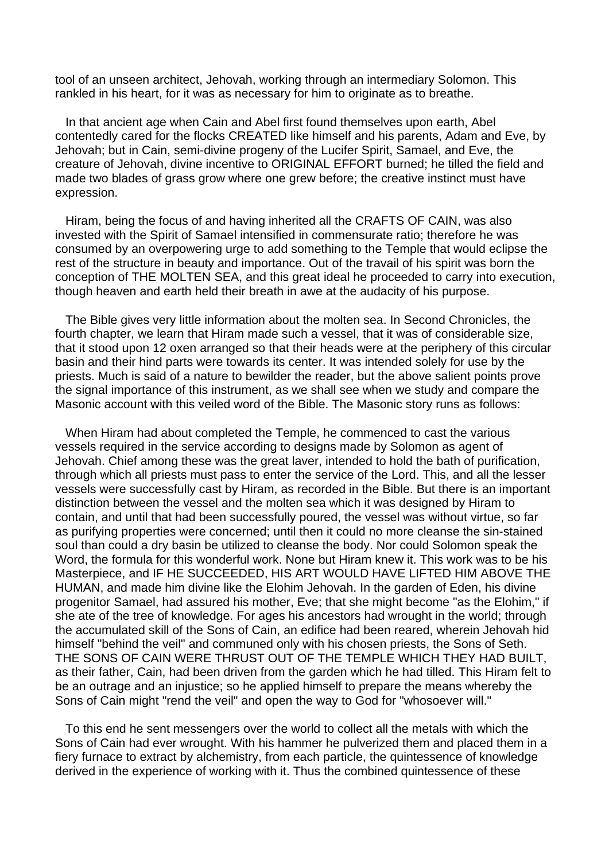tool of an unseen architect, Jehovah, working through an intermediary Solomon. This rankled in his heart, for it was as necessary for him to originate as to breathe.

 In that ancient age when Cain and Abel first found themselves upon earth, Abel contentedly cared for the flocks CREATED like himself and his parents, Adam and Eve, by Jehovah; but in Cain, semi-divine progeny of the Lucifer Spirit, Samael, and Eve, the creature of Jehovah, divine incentive to ORIGINAL EFFORT burned; he tilled the field and made two blades of grass grow where one grew before; the creative instinct must have expression.

 Hiram, being the focus of and having inherited all the CRAFTS OF CAIN, was also invested with the Spirit of Samael intensified in commensurate ratio; therefore he was consumed by an overpowering urge to add something to the Temple that would eclipse the rest of the structure in beauty and importance. Out of the travail of his spirit was born the conception of THE MOLTEN SEA, and this great ideal he proceeded to carry into execution, though heaven and earth held their breath in awe at the audacity of his purpose.

 The Bible gives very little information about the molten sea. In Second Chronicles, the fourth chapter, we learn that Hiram made such a vessel, that it was of considerable size, that it stood upon 12 oxen arranged so that their heads were at the periphery of this circular basin and their hind parts were towards its center. It was intended solely for use by the priests. Much is said of a nature to bewilder the reader, but the above salient points prove the signal importance of this instrument, as we shall see when we study and compare the Masonic account with this veiled word of the Bible. The Masonic story runs as follows:

 When Hiram had about completed the Temple, he commenced to cast the various vessels required in the service according to designs made by Solomon as agent of Jehovah. Chief among these was the great laver, intended to hold the bath of purification, through which all priests must pass to enter the service of the Lord. This, and all the lesser vessels were successfully cast by Hiram, as recorded in the Bible. But there is an important distinction between the vessel and the molten sea which it was designed by Hiram to contain, and until that had been successfully poured, the vessel was without virtue, so far as purifying properties were concerned; until then it could no more cleanse the sin-stained soul than could a dry basin be utilized to cleanse the body. Nor could Solomon speak the Word, the formula for this wonderful work. None but Hiram knew it. This work was to be his Masterpiece, and IF HE SUCCEEDED, HIS ART WOULD HAVE LIFTED HIM ABOVE THE HUMAN, and made him divine like the Elohim Jehovah. In the garden of Eden, his divine progenitor Samael, had assured his mother, Eve; that she might become "as the Elohim," if she ate of the tree of knowledge. For ages his ancestors had wrought in the world; through the accumulated skill of the Sons of Cain, an edifice had been reared, wherein Jehovah hid himself "behind the veil" and communed only with his chosen priests, the Sons of Seth. THE SONS OF CAIN WERE THRUST OUT OF THE TEMPLE WHICH THEY HAD BUILT, as their father, Cain, had been driven from the garden which he had tilled. This Hiram felt to be an outrage and an injustice; so he applied himself to prepare the means whereby the Sons of Cain might "rend the veil" and open the way to God for "whosoever will."

 To this end he sent messengers over the world to collect all the metals with which the Sons of Cain had ever wrought. With his hammer he pulverized them and placed them in a fiery furnace to extract by alchemistry, from each particle, the quintessence of knowledge derived in the experience of working with it. Thus the combined quintessence of these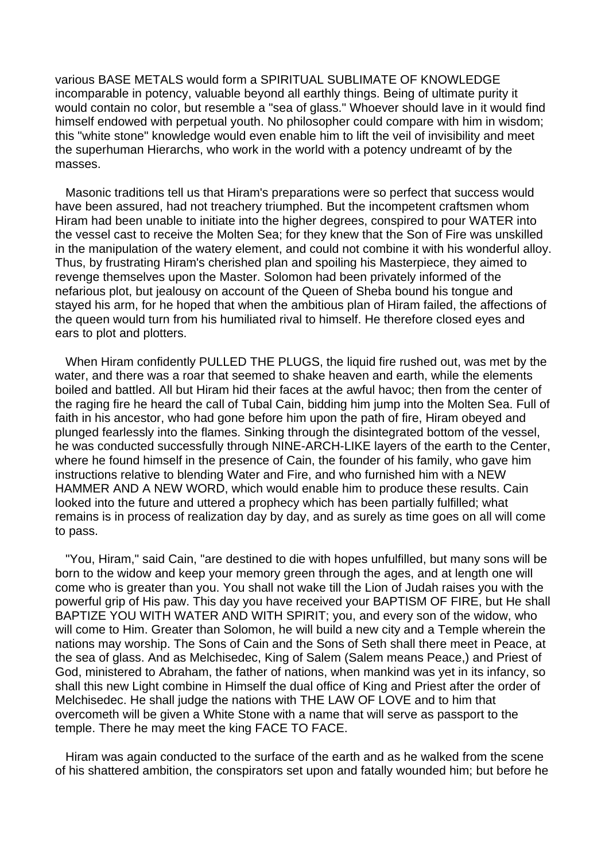various BASE METALS would form a SPIRITUAL SUBLIMATE OF KNOWLEDGE incomparable in potency, valuable beyond all earthly things. Being of ultimate purity it would contain no color, but resemble a "sea of glass." Whoever should lave in it would find himself endowed with perpetual youth. No philosopher could compare with him in wisdom; this "white stone" knowledge would even enable him to lift the veil of invisibility and meet the superhuman Hierarchs, who work in the world with a potency undreamt of by the masses.

 Masonic traditions tell us that Hiram's preparations were so perfect that success would have been assured, had not treachery triumphed. But the incompetent craftsmen whom Hiram had been unable to initiate into the higher degrees, conspired to pour WATER into the vessel cast to receive the Molten Sea; for they knew that the Son of Fire was unskilled in the manipulation of the watery element, and could not combine it with his wonderful alloy. Thus, by frustrating Hiram's cherished plan and spoiling his Masterpiece, they aimed to revenge themselves upon the Master. Solomon had been privately informed of the nefarious plot, but jealousy on account of the Queen of Sheba bound his tongue and stayed his arm, for he hoped that when the ambitious plan of Hiram failed, the affections of the queen would turn from his humiliated rival to himself. He therefore closed eyes and ears to plot and plotters.

 When Hiram confidently PULLED THE PLUGS, the liquid fire rushed out, was met by the water, and there was a roar that seemed to shake heaven and earth, while the elements boiled and battled. All but Hiram hid their faces at the awful havoc; then from the center of the raging fire he heard the call of Tubal Cain, bidding him jump into the Molten Sea. Full of faith in his ancestor, who had gone before him upon the path of fire, Hiram obeyed and plunged fearlessly into the flames. Sinking through the disintegrated bottom of the vessel, he was conducted successfully through NINE-ARCH-LIKE layers of the earth to the Center, where he found himself in the presence of Cain, the founder of his family, who gave him instructions relative to blending Water and Fire, and who furnished him with a NEW HAMMER AND A NEW WORD, which would enable him to produce these results. Cain looked into the future and uttered a prophecy which has been partially fulfilled; what remains is in process of realization day by day, and as surely as time goes on all will come to pass.

 "You, Hiram," said Cain, "are destined to die with hopes unfulfilled, but many sons will be born to the widow and keep your memory green through the ages, and at length one will come who is greater than you. You shall not wake till the Lion of Judah raises you with the powerful grip of His paw. This day you have received your BAPTISM OF FIRE, but He shall BAPTIZE YOU WITH WATER AND WITH SPIRIT; you, and every son of the widow, who will come to Him. Greater than Solomon, he will build a new city and a Temple wherein the nations may worship. The Sons of Cain and the Sons of Seth shall there meet in Peace, at the sea of glass. And as Melchisedec, King of Salem (Salem means Peace,) and Priest of God, ministered to Abraham, the father of nations, when mankind was yet in its infancy, so shall this new Light combine in Himself the dual office of King and Priest after the order of Melchisedec. He shall judge the nations with THE LAW OF LOVE and to him that overcometh will be given a White Stone with a name that will serve as passport to the temple. There he may meet the king FACE TO FACE.

 Hiram was again conducted to the surface of the earth and as he walked from the scene of his shattered ambition, the conspirators set upon and fatally wounded him; but before he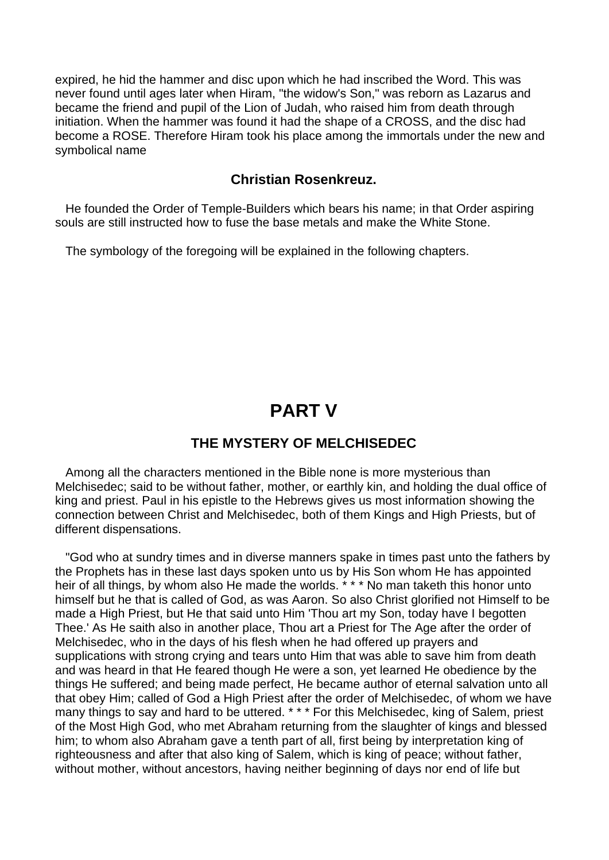expired, he hid the hammer and disc upon which he had inscribed the Word. This was never found until ages later when Hiram, "the widow's Son," was reborn as Lazarus and became the friend and pupil of the Lion of Judah, who raised him from death through initiation. When the hammer was found it had the shape of a CROSS, and the disc had become a ROSE. Therefore Hiram took his place among the immortals under the new and symbolical name

### **Christian Rosenkreuz.**

 He founded the Order of Temple-Builders which bears his name; in that Order aspiring souls are still instructed how to fuse the base metals and make the White Stone.

The symbology of the foregoing will be explained in the following chapters.

# **PART V**

### **THE MYSTERY OF MELCHISEDEC**

 Among all the characters mentioned in the Bible none is more mysterious than Melchisedec; said to be without father, mother, or earthly kin, and holding the dual office of king and priest. Paul in his epistle to the Hebrews gives us most information showing the connection between Christ and Melchisedec, both of them Kings and High Priests, but of different dispensations.

 "God who at sundry times and in diverse manners spake in times past unto the fathers by the Prophets has in these last days spoken unto us by His Son whom He has appointed heir of all things, by whom also He made the worlds. \* \* \* No man taketh this honor unto himself but he that is called of God, as was Aaron. So also Christ glorified not Himself to be made a High Priest, but He that said unto Him 'Thou art my Son, today have I begotten Thee.' As He saith also in another place, Thou art a Priest for The Age after the order of Melchisedec, who in the days of his flesh when he had offered up prayers and supplications with strong crying and tears unto Him that was able to save him from death and was heard in that He feared though He were a son, yet learned He obedience by the things He suffered; and being made perfect, He became author of eternal salvation unto all that obey Him; called of God a High Priest after the order of Melchisedec, of whom we have many things to say and hard to be uttered. \* \* \* For this Melchisedec, king of Salem, priest of the Most High God, who met Abraham returning from the slaughter of kings and blessed him; to whom also Abraham gave a tenth part of all, first being by interpretation king of righteousness and after that also king of Salem, which is king of peace; without father, without mother, without ancestors, having neither beginning of days nor end of life but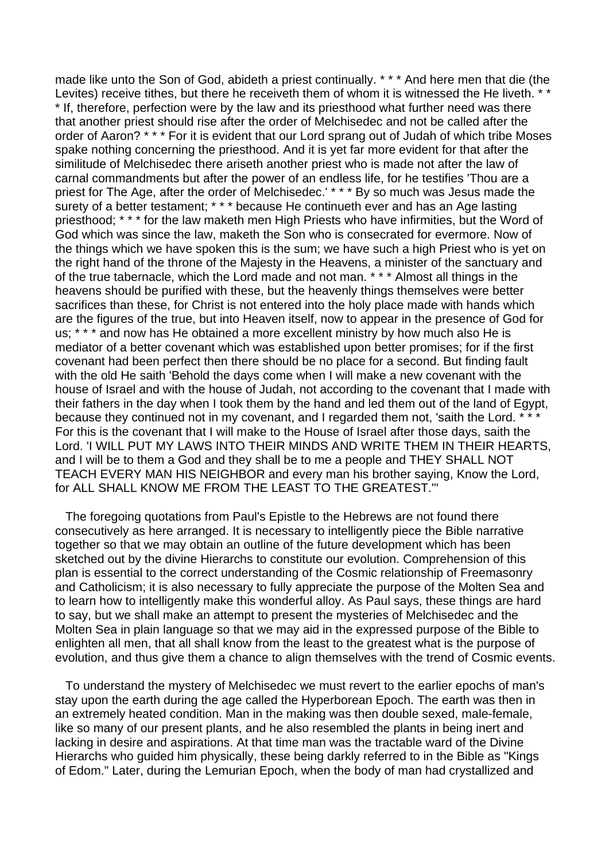made like unto the Son of God, abideth a priest continually. \* \* \* And here men that die (the Levites) receive tithes, but there he receiveth them of whom it is witnessed the He liveth. \* \* \* If, therefore, perfection were by the law and its priesthood what further need was there that another priest should rise after the order of Melchisedec and not be called after the order of Aaron? \* \* \* For it is evident that our Lord sprang out of Judah of which tribe Moses spake nothing concerning the priesthood. And it is yet far more evident for that after the similitude of Melchisedec there ariseth another priest who is made not after the law of carnal commandments but after the power of an endless life, for he testifies 'Thou are a priest for The Age, after the order of Melchisedec.' \* \* \* By so much was Jesus made the surety of a better testament; \* \* \* because He continueth ever and has an Age lasting priesthood; \* \* \* for the law maketh men High Priests who have infirmities, but the Word of God which was since the law, maketh the Son who is consecrated for evermore. Now of the things which we have spoken this is the sum; we have such a high Priest who is yet on the right hand of the throne of the Majesty in the Heavens, a minister of the sanctuary and of the true tabernacle, which the Lord made and not man. \* \* \* Almost all things in the heavens should be purified with these, but the heavenly things themselves were better sacrifices than these, for Christ is not entered into the holy place made with hands which are the figures of the true, but into Heaven itself, now to appear in the presence of God for us; \* \* \* and now has He obtained a more excellent ministry by how much also He is mediator of a better covenant which was established upon better promises; for if the first covenant had been perfect then there should be no place for a second. But finding fault with the old He saith 'Behold the days come when I will make a new covenant with the house of Israel and with the house of Judah, not according to the covenant that I made with their fathers in the day when I took them by the hand and led them out of the land of Egypt, because they continued not in my covenant, and I regarded them not, 'saith the Lord. \* \* For this is the covenant that I will make to the House of Israel after those days, saith the Lord. 'I WILL PUT MY LAWS INTO THEIR MINDS AND WRITE THEM IN THEIR HEARTS, and I will be to them a God and they shall be to me a people and THEY SHALL NOT TEACH EVERY MAN HIS NEIGHBOR and every man his brother saying, Know the Lord, for ALL SHALL KNOW ME FROM THE LEAST TO THE GREATEST.'"

 The foregoing quotations from Paul's Epistle to the Hebrews are not found there consecutively as here arranged. It is necessary to intelligently piece the Bible narrative together so that we may obtain an outline of the future development which has been sketched out by the divine Hierarchs to constitute our evolution. Comprehension of this plan is essential to the correct understanding of the Cosmic relationship of Freemasonry and Catholicism; it is also necessary to fully appreciate the purpose of the Molten Sea and to learn how to intelligently make this wonderful alloy. As Paul says, these things are hard to say, but we shall make an attempt to present the mysteries of Melchisedec and the Molten Sea in plain language so that we may aid in the expressed purpose of the Bible to enlighten all men, that all shall know from the least to the greatest what is the purpose of evolution, and thus give them a chance to align themselves with the trend of Cosmic events.

 To understand the mystery of Melchisedec we must revert to the earlier epochs of man's stay upon the earth during the age called the Hyperborean Epoch. The earth was then in an extremely heated condition. Man in the making was then double sexed, male-female, like so many of our present plants, and he also resembled the plants in being inert and lacking in desire and aspirations. At that time man was the tractable ward of the Divine Hierarchs who guided him physically, these being darkly referred to in the Bible as "Kings of Edom." Later, during the Lemurian Epoch, when the body of man had crystallized and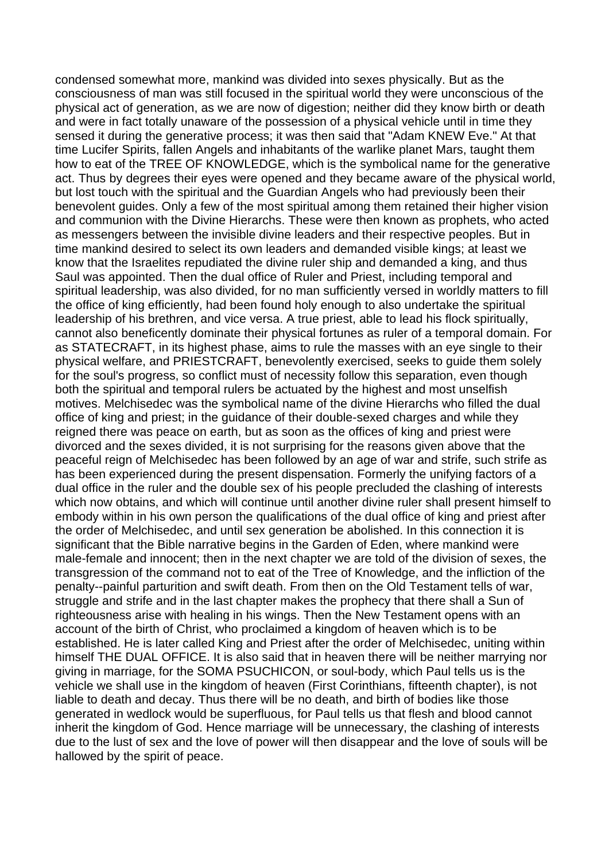condensed somewhat more, mankind was divided into sexes physically. But as the consciousness of man was still focused in the spiritual world they were unconscious of the physical act of generation, as we are now of digestion; neither did they know birth or death and were in fact totally unaware of the possession of a physical vehicle until in time they sensed it during the generative process; it was then said that "Adam KNEW Eve." At that time Lucifer Spirits, fallen Angels and inhabitants of the warlike planet Mars, taught them how to eat of the TREE OF KNOWLEDGE, which is the symbolical name for the generative act. Thus by degrees their eyes were opened and they became aware of the physical world, but lost touch with the spiritual and the Guardian Angels who had previously been their benevolent guides. Only a few of the most spiritual among them retained their higher vision and communion with the Divine Hierarchs. These were then known as prophets, who acted as messengers between the invisible divine leaders and their respective peoples. But in time mankind desired to select its own leaders and demanded visible kings; at least we know that the Israelites repudiated the divine ruler ship and demanded a king, and thus Saul was appointed. Then the dual office of Ruler and Priest, including temporal and spiritual leadership, was also divided, for no man sufficiently versed in worldly matters to fill the office of king efficiently, had been found holy enough to also undertake the spiritual leadership of his brethren, and vice versa. A true priest, able to lead his flock spiritually, cannot also beneficently dominate their physical fortunes as ruler of a temporal domain. For as STATECRAFT, in its highest phase, aims to rule the masses with an eye single to their physical welfare, and PRIESTCRAFT, benevolently exercised, seeks to guide them solely for the soul's progress, so conflict must of necessity follow this separation, even though both the spiritual and temporal rulers be actuated by the highest and most unselfish motives. Melchisedec was the symbolical name of the divine Hierarchs who filled the dual office of king and priest; in the guidance of their double-sexed charges and while they reigned there was peace on earth, but as soon as the offices of king and priest were divorced and the sexes divided, it is not surprising for the reasons given above that the peaceful reign of Melchisedec has been followed by an age of war and strife, such strife as has been experienced during the present dispensation. Formerly the unifying factors of a dual office in the ruler and the double sex of his people precluded the clashing of interests which now obtains, and which will continue until another divine ruler shall present himself to embody within in his own person the qualifications of the dual office of king and priest after the order of Melchisedec, and until sex generation be abolished. In this connection it is significant that the Bible narrative begins in the Garden of Eden, where mankind were male-female and innocent; then in the next chapter we are told of the division of sexes, the transgression of the command not to eat of the Tree of Knowledge, and the infliction of the penalty--painful parturition and swift death. From then on the Old Testament tells of war, struggle and strife and in the last chapter makes the prophecy that there shall a Sun of righteousness arise with healing in his wings. Then the New Testament opens with an account of the birth of Christ, who proclaimed a kingdom of heaven which is to be established. He is later called King and Priest after the order of Melchisedec, uniting within himself THE DUAL OFFICE. It is also said that in heaven there will be neither marrying nor giving in marriage, for the SOMA PSUCHICON, or soul-body, which Paul tells us is the vehicle we shall use in the kingdom of heaven (First Corinthians, fifteenth chapter), is not liable to death and decay. Thus there will be no death, and birth of bodies like those generated in wedlock would be superfluous, for Paul tells us that flesh and blood cannot inherit the kingdom of God. Hence marriage will be unnecessary, the clashing of interests due to the lust of sex and the love of power will then disappear and the love of souls will be hallowed by the spirit of peace.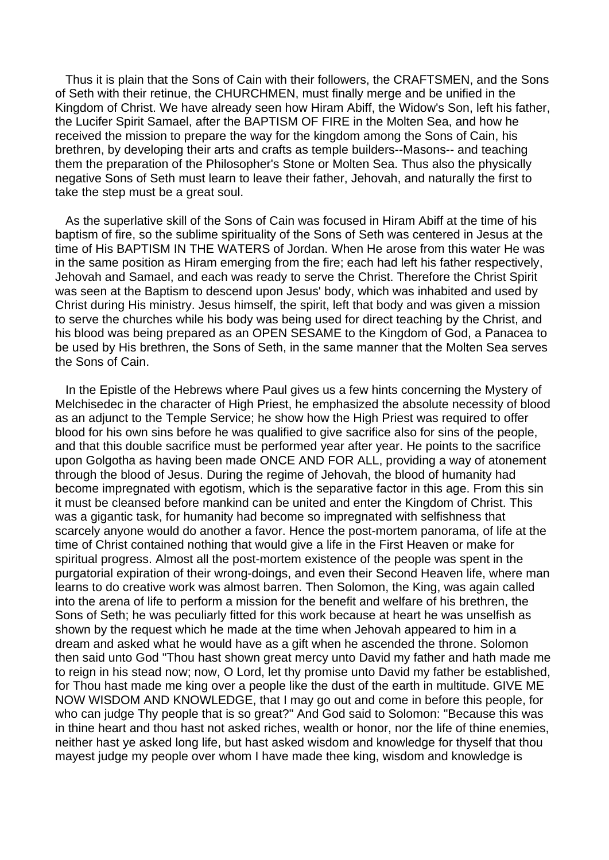Thus it is plain that the Sons of Cain with their followers, the CRAFTSMEN, and the Sons of Seth with their retinue, the CHURCHMEN, must finally merge and be unified in the Kingdom of Christ. We have already seen how Hiram Abiff, the Widow's Son, left his father, the Lucifer Spirit Samael, after the BAPTISM OF FIRE in the Molten Sea, and how he received the mission to prepare the way for the kingdom among the Sons of Cain, his brethren, by developing their arts and crafts as temple builders--Masons-- and teaching them the preparation of the Philosopher's Stone or Molten Sea. Thus also the physically negative Sons of Seth must learn to leave their father, Jehovah, and naturally the first to take the step must be a great soul.

 As the superlative skill of the Sons of Cain was focused in Hiram Abiff at the time of his baptism of fire, so the sublime spirituality of the Sons of Seth was centered in Jesus at the time of His BAPTISM IN THE WATERS of Jordan. When He arose from this water He was in the same position as Hiram emerging from the fire; each had left his father respectively, Jehovah and Samael, and each was ready to serve the Christ. Therefore the Christ Spirit was seen at the Baptism to descend upon Jesus' body, which was inhabited and used by Christ during His ministry. Jesus himself, the spirit, left that body and was given a mission to serve the churches while his body was being used for direct teaching by the Christ, and his blood was being prepared as an OPEN SESAME to the Kingdom of God, a Panacea to be used by His brethren, the Sons of Seth, in the same manner that the Molten Sea serves the Sons of Cain.

 In the Epistle of the Hebrews where Paul gives us a few hints concerning the Mystery of Melchisedec in the character of High Priest, he emphasized the absolute necessity of blood as an adjunct to the Temple Service; he show how the High Priest was required to offer blood for his own sins before he was qualified to give sacrifice also for sins of the people, and that this double sacrifice must be performed year after year. He points to the sacrifice upon Golgotha as having been made ONCE AND FOR ALL, providing a way of atonement through the blood of Jesus. During the regime of Jehovah, the blood of humanity had become impregnated with egotism, which is the separative factor in this age. From this sin it must be cleansed before mankind can be united and enter the Kingdom of Christ. This was a gigantic task, for humanity had become so impregnated with selfishness that scarcely anyone would do another a favor. Hence the post-mortem panorama, of life at the time of Christ contained nothing that would give a life in the First Heaven or make for spiritual progress. Almost all the post-mortem existence of the people was spent in the purgatorial expiration of their wrong-doings, and even their Second Heaven life, where man learns to do creative work was almost barren. Then Solomon, the King, was again called into the arena of life to perform a mission for the benefit and welfare of his brethren, the Sons of Seth; he was peculiarly fitted for this work because at heart he was unselfish as shown by the request which he made at the time when Jehovah appeared to him in a dream and asked what he would have as a gift when he ascended the throne. Solomon then said unto God "Thou hast shown great mercy unto David my father and hath made me to reign in his stead now; now, O Lord, let thy promise unto David my father be established, for Thou hast made me king over a people like the dust of the earth in multitude. GIVE ME NOW WISDOM AND KNOWLEDGE, that I may go out and come in before this people, for who can judge Thy people that is so great?" And God said to Solomon: "Because this was in thine heart and thou hast not asked riches, wealth or honor, nor the life of thine enemies, neither hast ye asked long life, but hast asked wisdom and knowledge for thyself that thou mayest judge my people over whom I have made thee king, wisdom and knowledge is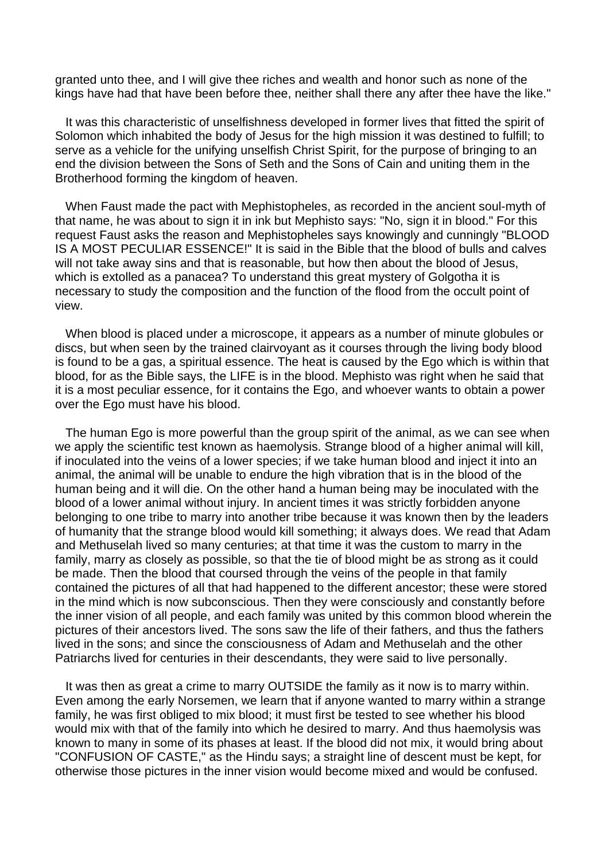granted unto thee, and I will give thee riches and wealth and honor such as none of the kings have had that have been before thee, neither shall there any after thee have the like."

 It was this characteristic of unselfishness developed in former lives that fitted the spirit of Solomon which inhabited the body of Jesus for the high mission it was destined to fulfill; to serve as a vehicle for the unifying unselfish Christ Spirit, for the purpose of bringing to an end the division between the Sons of Seth and the Sons of Cain and uniting them in the Brotherhood forming the kingdom of heaven.

 When Faust made the pact with Mephistopheles, as recorded in the ancient soul-myth of that name, he was about to sign it in ink but Mephisto says: "No, sign it in blood." For this request Faust asks the reason and Mephistopheles says knowingly and cunningly "BLOOD IS A MOST PECULIAR ESSENCE!" It is said in the Bible that the blood of bulls and calves will not take away sins and that is reasonable, but how then about the blood of Jesus, which is extolled as a panacea? To understand this great mystery of Golgotha it is necessary to study the composition and the function of the flood from the occult point of view.

 When blood is placed under a microscope, it appears as a number of minute globules or discs, but when seen by the trained clairvoyant as it courses through the living body blood is found to be a gas, a spiritual essence. The heat is caused by the Ego which is within that blood, for as the Bible says, the LIFE is in the blood. Mephisto was right when he said that it is a most peculiar essence, for it contains the Ego, and whoever wants to obtain a power over the Ego must have his blood.

The human Ego is more powerful than the group spirit of the animal, as we can see when we apply the scientific test known as haemolysis. Strange blood of a higher animal will kill, if inoculated into the veins of a lower species; if we take human blood and inject it into an animal, the animal will be unable to endure the high vibration that is in the blood of the human being and it will die. On the other hand a human being may be inoculated with the blood of a lower animal without injury. In ancient times it was strictly forbidden anyone belonging to one tribe to marry into another tribe because it was known then by the leaders of humanity that the strange blood would kill something; it always does. We read that Adam and Methuselah lived so many centuries; at that time it was the custom to marry in the family, marry as closely as possible, so that the tie of blood might be as strong as it could be made. Then the blood that coursed through the veins of the people in that family contained the pictures of all that had happened to the different ancestor; these were stored in the mind which is now subconscious. Then they were consciously and constantly before the inner vision of all people, and each family was united by this common blood wherein the pictures of their ancestors lived. The sons saw the life of their fathers, and thus the fathers lived in the sons; and since the consciousness of Adam and Methuselah and the other Patriarchs lived for centuries in their descendants, they were said to live personally.

 It was then as great a crime to marry OUTSIDE the family as it now is to marry within. Even among the early Norsemen, we learn that if anyone wanted to marry within a strange family, he was first obliged to mix blood; it must first be tested to see whether his blood would mix with that of the family into which he desired to marry. And thus haemolysis was known to many in some of its phases at least. If the blood did not mix, it would bring about "CONFUSION OF CASTE," as the Hindu says; a straight line of descent must be kept, for otherwise those pictures in the inner vision would become mixed and would be confused.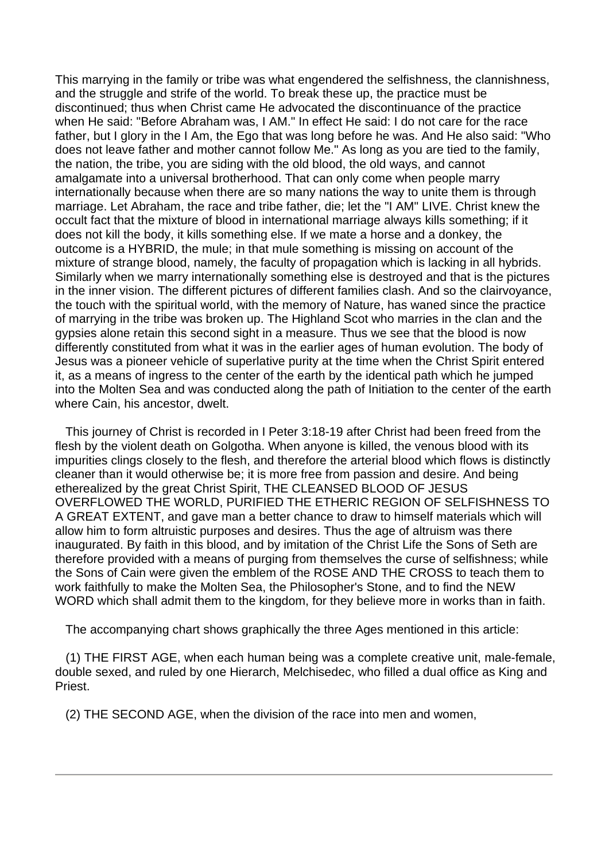This marrying in the family or tribe was what engendered the selfishness, the clannishness, and the struggle and strife of the world. To break these up, the practice must be discontinued; thus when Christ came He advocated the discontinuance of the practice when He said: "Before Abraham was, I AM." In effect He said: I do not care for the race father, but I glory in the I Am, the Ego that was long before he was. And He also said: "Who does not leave father and mother cannot follow Me." As long as you are tied to the family, the nation, the tribe, you are siding with the old blood, the old ways, and cannot amalgamate into a universal brotherhood. That can only come when people marry internationally because when there are so many nations the way to unite them is through marriage. Let Abraham, the race and tribe father, die; let the "I AM" LIVE. Christ knew the occult fact that the mixture of blood in international marriage always kills something; if it does not kill the body, it kills something else. If we mate a horse and a donkey, the outcome is a HYBRID, the mule; in that mule something is missing on account of the mixture of strange blood, namely, the faculty of propagation which is lacking in all hybrids. Similarly when we marry internationally something else is destroyed and that is the pictures in the inner vision. The different pictures of different families clash. And so the clairvoyance, the touch with the spiritual world, with the memory of Nature, has waned since the practice of marrying in the tribe was broken up. The Highland Scot who marries in the clan and the gypsies alone retain this second sight in a measure. Thus we see that the blood is now differently constituted from what it was in the earlier ages of human evolution. The body of Jesus was a pioneer vehicle of superlative purity at the time when the Christ Spirit entered it, as a means of ingress to the center of the earth by the identical path which he jumped into the Molten Sea and was conducted along the path of Initiation to the center of the earth where Cain, his ancestor, dwelt.

 This journey of Christ is recorded in I Peter 3:18-19 after Christ had been freed from the flesh by the violent death on Golgotha. When anyone is killed, the venous blood with its impurities clings closely to the flesh, and therefore the arterial blood which flows is distinctly cleaner than it would otherwise be; it is more free from passion and desire. And being etherealized by the great Christ Spirit, THE CLEANSED BLOOD OF JESUS OVERFLOWED THE WORLD, PURIFIED THE ETHERIC REGION OF SELFISHNESS TO A GREAT EXTENT, and gave man a better chance to draw to himself materials which will allow him to form altruistic purposes and desires. Thus the age of altruism was there inaugurated. By faith in this blood, and by imitation of the Christ Life the Sons of Seth are therefore provided with a means of purging from themselves the curse of selfishness; while the Sons of Cain were given the emblem of the ROSE AND THE CROSS to teach them to work faithfully to make the Molten Sea, the Philosopher's Stone, and to find the NEW WORD which shall admit them to the kingdom, for they believe more in works than in faith.

The accompanying chart shows graphically the three Ages mentioned in this article:

 (1) THE FIRST AGE, when each human being was a complete creative unit, male-female, double sexed, and ruled by one Hierarch, Melchisedec, who filled a dual office as King and Priest.

(2) THE SECOND AGE, when the division of the race into men and women,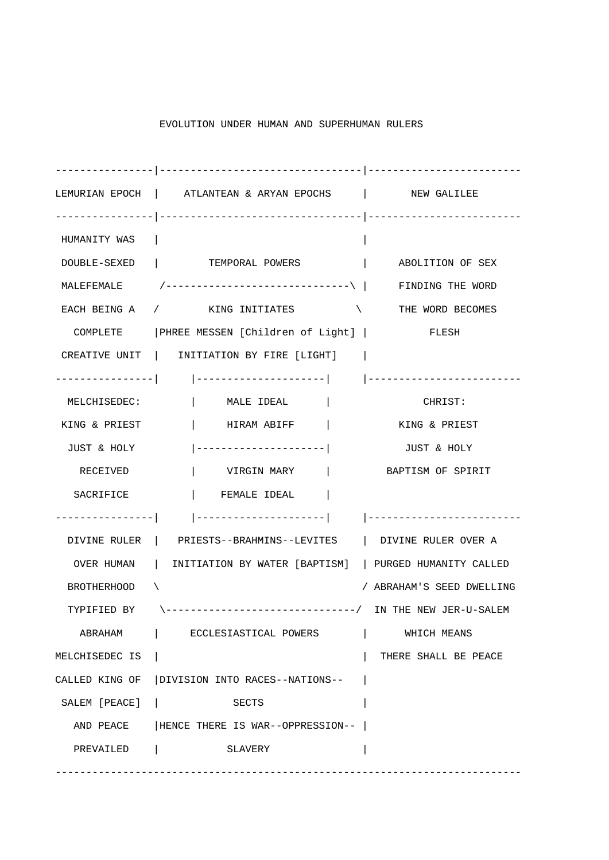| ---------------    |                                                                   |                           |
|--------------------|-------------------------------------------------------------------|---------------------------|
|                    | LEMURIAN EPOCH   ATLANTEAN & ARYAN EPOCHS   NEW GALILEE           |                           |
|                    |                                                                   |                           |
| HUMANITY WAS       |                                                                   |                           |
|                    | DOUBLE-SEXED   TEMPORAL POWERS                                    | ABOLITION OF SEX          |
|                    | MALEFEMALE $/$ ------------------------------\   FINDING THE WORD |                           |
|                    | EACH BEING A $/$ KING INITIATES $\setminus$ THE WORD BECOMES      |                           |
|                    | COMPLETE   PHREE MESSEN [Children of Light]   FLESH               |                           |
|                    | CREATIVE UNIT   INITIATION BY FIRE [LIGHT]                        |                           |
| ----------------   |                                                                   |                           |
| MELCHISEDEC:       | MALE IDEAL                                                        | CHRIST:                   |
| KING & PRIEST      | HIRAM ABIFF                                                       | KING & PRIEST             |
| JUST & HOLY        | ---------------------                                             | JUST & HOLY               |
| RECEIVED           | VIRGIN MARY                                                       | BAPTISM OF SPIRIT         |
| SACRIFICE          | FEMALE IDEAL                                                      |                           |
| --------------     |                                                                   |                           |
|                    | DIVINE RULER   PRIESTS--BRAHMINS--LEVITES   DIVINE RULER OVER A   |                           |
| OVER HUMAN         | INITIATION BY WATER [BAPTISM]   PURGED HUMANITY CALLED            |                           |
| <b>BROTHERHOOD</b> | X                                                                 | / ABRAHAM'S SEED DWELLING |
| TYPIFIED BY        | \-------------------------------/ IN THE NEW JER-U-SALEM          |                           |
| ABRAHAM            | ECCLESIASTICAL POWERS                                             | WHICH MEANS               |
| MELCHISEDEC IS     |                                                                   | THERE SHALL BE PEACE      |
| CALLED KING OF     | DIVISION INTO RACES--NATIONS--                                    |                           |
| SALEM [PEACE]      | SECTS                                                             |                           |
| AND PEACE          | HENCE THERE IS WAR--OPPRESSION--                                  |                           |
| PREVAILED          | SLAVERY                                                           |                           |

----------------------------------------------------------------------------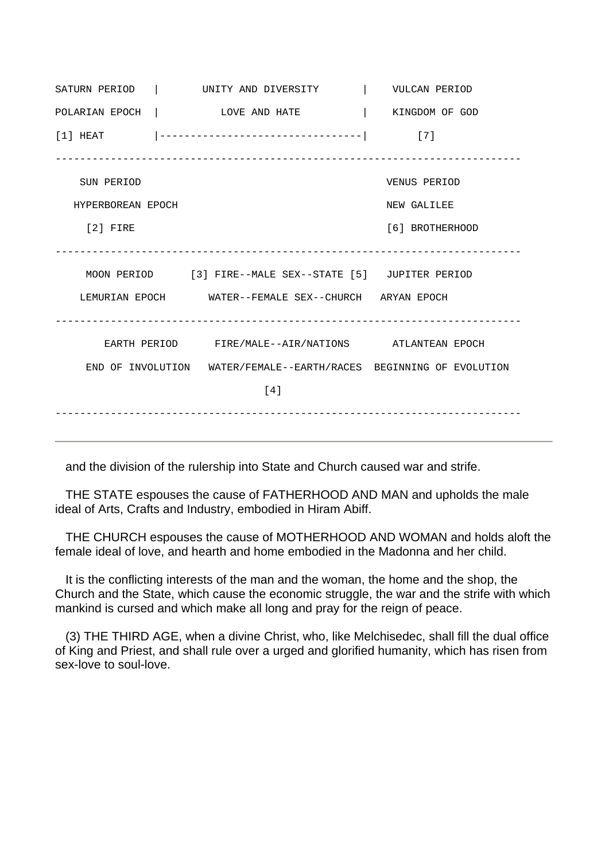SATURN PERIOD | UNITY AND DIVERSITY | VULCAN PERIOD POLARIAN EPOCH | LOVE AND HATE | KINGDOM OF GOD [1] HEAT |---------------------------------| [7] ---------------------------------------------------------------------------- SUN PERIOD VENUS PERIOD HYPERBOREAN EPOCH NEW GALILEE [2] FIRE [6] BROTHERHOOD ---------------------------------------------------------------------------- MOON PERIOD [3] FIRE--MALE SEX--STATE [5] JUPITER PERIOD LEMURIAN EPOCH WATER--FEMALE SEX--CHURCH ARYAN EPOCH ---------------------------------------------------------------------------- EARTH PERIOD FIRE/MALE--AIR/NATIONS ATLANTEAN EPOCH END OF INVOLUTION WATER/FEMALE--EARTH/RACES BEGINNING OF EVOLUTION [4] ----------------------------------------------------------------------------

and the division of the rulership into State and Church caused war and strife.

 THE STATE espouses the cause of FATHERHOOD AND MAN and upholds the male ideal of Arts, Crafts and Industry, embodied in Hiram Abiff.

 THE CHURCH espouses the cause of MOTHERHOOD AND WOMAN and holds aloft the female ideal of love, and hearth and home embodied in the Madonna and her child.

 It is the conflicting interests of the man and the woman, the home and the shop, the Church and the State, which cause the economic struggle, the war and the strife with which mankind is cursed and which make all long and pray for the reign of peace.

 (3) THE THIRD AGE, when a divine Christ, who, like Melchisedec, shall fill the dual office of King and Priest, and shall rule over a urged and glorified humanity, which has risen from sex-love to soul-love.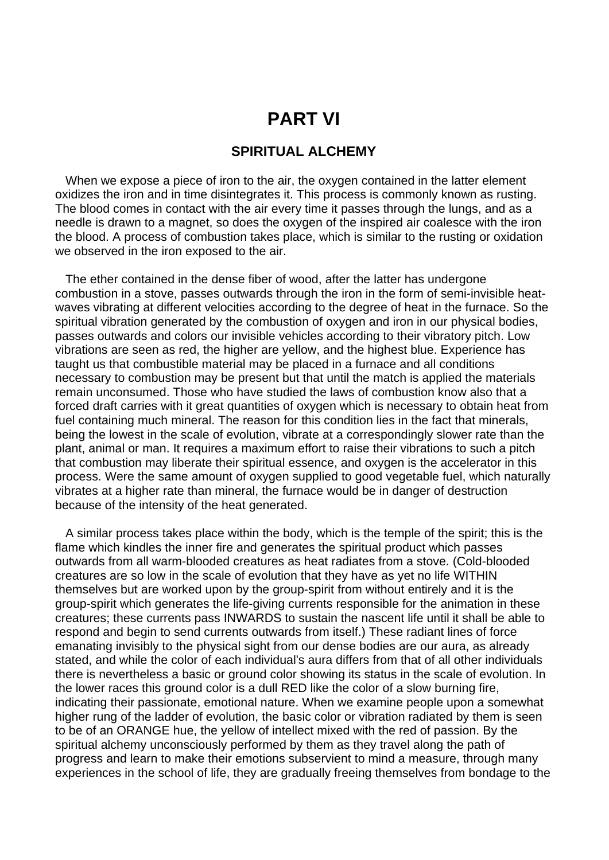# **PART VI**

### **SPIRITUAL ALCHEMY**

When we expose a piece of iron to the air, the oxygen contained in the latter element oxidizes the iron and in time disintegrates it. This process is commonly known as rusting. The blood comes in contact with the air every time it passes through the lungs, and as a needle is drawn to a magnet, so does the oxygen of the inspired air coalesce with the iron the blood. A process of combustion takes place, which is similar to the rusting or oxidation we observed in the iron exposed to the air.

 The ether contained in the dense fiber of wood, after the latter has undergone combustion in a stove, passes outwards through the iron in the form of semi-invisible heatwaves vibrating at different velocities according to the degree of heat in the furnace. So the spiritual vibration generated by the combustion of oxygen and iron in our physical bodies, passes outwards and colors our invisible vehicles according to their vibratory pitch. Low vibrations are seen as red, the higher are yellow, and the highest blue. Experience has taught us that combustible material may be placed in a furnace and all conditions necessary to combustion may be present but that until the match is applied the materials remain unconsumed. Those who have studied the laws of combustion know also that a forced draft carries with it great quantities of oxygen which is necessary to obtain heat from fuel containing much mineral. The reason for this condition lies in the fact that minerals, being the lowest in the scale of evolution, vibrate at a correspondingly slower rate than the plant, animal or man. It requires a maximum effort to raise their vibrations to such a pitch that combustion may liberate their spiritual essence, and oxygen is the accelerator in this process. Were the same amount of oxygen supplied to good vegetable fuel, which naturally vibrates at a higher rate than mineral, the furnace would be in danger of destruction because of the intensity of the heat generated.

 A similar process takes place within the body, which is the temple of the spirit; this is the flame which kindles the inner fire and generates the spiritual product which passes outwards from all warm-blooded creatures as heat radiates from a stove. (Cold-blooded creatures are so low in the scale of evolution that they have as yet no life WITHIN themselves but are worked upon by the group-spirit from without entirely and it is the group-spirit which generates the life-giving currents responsible for the animation in these creatures; these currents pass INWARDS to sustain the nascent life until it shall be able to respond and begin to send currents outwards from itself.) These radiant lines of force emanating invisibly to the physical sight from our dense bodies are our aura, as already stated, and while the color of each individual's aura differs from that of all other individuals there is nevertheless a basic or ground color showing its status in the scale of evolution. In the lower races this ground color is a dull RED like the color of a slow burning fire, indicating their passionate, emotional nature. When we examine people upon a somewhat higher rung of the ladder of evolution, the basic color or vibration radiated by them is seen to be of an ORANGE hue, the yellow of intellect mixed with the red of passion. By the spiritual alchemy unconsciously performed by them as they travel along the path of progress and learn to make their emotions subservient to mind a measure, through many experiences in the school of life, they are gradually freeing themselves from bondage to the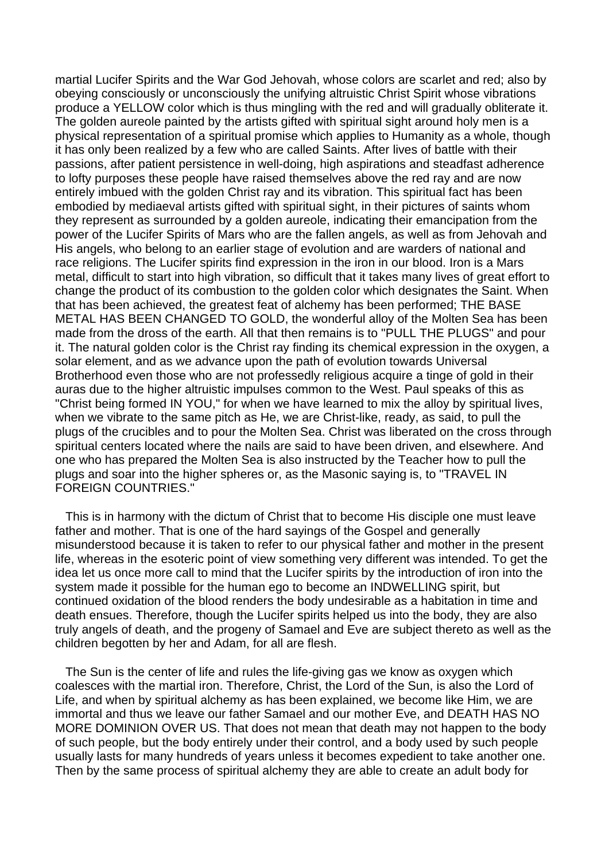martial Lucifer Spirits and the War God Jehovah, whose colors are scarlet and red; also by obeying consciously or unconsciously the unifying altruistic Christ Spirit whose vibrations produce a YELLOW color which is thus mingling with the red and will gradually obliterate it. The golden aureole painted by the artists gifted with spiritual sight around holy men is a physical representation of a spiritual promise which applies to Humanity as a whole, though it has only been realized by a few who are called Saints. After lives of battle with their passions, after patient persistence in well-doing, high aspirations and steadfast adherence to lofty purposes these people have raised themselves above the red ray and are now entirely imbued with the golden Christ ray and its vibration. This spiritual fact has been embodied by mediaeval artists gifted with spiritual sight, in their pictures of saints whom they represent as surrounded by a golden aureole, indicating their emancipation from the power of the Lucifer Spirits of Mars who are the fallen angels, as well as from Jehovah and His angels, who belong to an earlier stage of evolution and are warders of national and race religions. The Lucifer spirits find expression in the iron in our blood. Iron is a Mars metal, difficult to start into high vibration, so difficult that it takes many lives of great effort to change the product of its combustion to the golden color which designates the Saint. When that has been achieved, the greatest feat of alchemy has been performed; THE BASE METAL HAS BEEN CHANGED TO GOLD, the wonderful alloy of the Molten Sea has been made from the dross of the earth. All that then remains is to "PULL THE PLUGS" and pour it. The natural golden color is the Christ ray finding its chemical expression in the oxygen, a solar element, and as we advance upon the path of evolution towards Universal Brotherhood even those who are not professedly religious acquire a tinge of gold in their auras due to the higher altruistic impulses common to the West. Paul speaks of this as "Christ being formed IN YOU," for when we have learned to mix the alloy by spiritual lives, when we vibrate to the same pitch as He, we are Christ-like, ready, as said, to pull the plugs of the crucibles and to pour the Molten Sea. Christ was liberated on the cross through spiritual centers located where the nails are said to have been driven, and elsewhere. And one who has prepared the Molten Sea is also instructed by the Teacher how to pull the plugs and soar into the higher spheres or, as the Masonic saying is, to "TRAVEL IN FOREIGN COUNTRIES."

 This is in harmony with the dictum of Christ that to become His disciple one must leave father and mother. That is one of the hard sayings of the Gospel and generally misunderstood because it is taken to refer to our physical father and mother in the present life, whereas in the esoteric point of view something very different was intended. To get the idea let us once more call to mind that the Lucifer spirits by the introduction of iron into the system made it possible for the human ego to become an INDWELLING spirit, but continued oxidation of the blood renders the body undesirable as a habitation in time and death ensues. Therefore, though the Lucifer spirits helped us into the body, they are also truly angels of death, and the progeny of Samael and Eve are subject thereto as well as the children begotten by her and Adam, for all are flesh.

 The Sun is the center of life and rules the life-giving gas we know as oxygen which coalesces with the martial iron. Therefore, Christ, the Lord of the Sun, is also the Lord of Life, and when by spiritual alchemy as has been explained, we become like Him, we are immortal and thus we leave our father Samael and our mother Eve, and DEATH HAS NO MORE DOMINION OVER US. That does not mean that death may not happen to the body of such people, but the body entirely under their control, and a body used by such people usually lasts for many hundreds of years unless it becomes expedient to take another one. Then by the same process of spiritual alchemy they are able to create an adult body for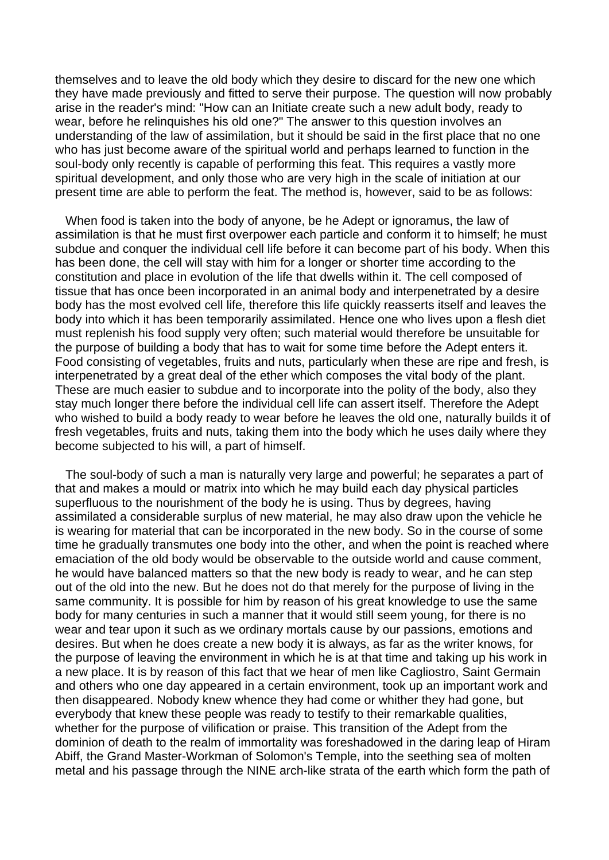themselves and to leave the old body which they desire to discard for the new one which they have made previously and fitted to serve their purpose. The question will now probably arise in the reader's mind: "How can an Initiate create such a new adult body, ready to wear, before he relinquishes his old one?" The answer to this question involves an understanding of the law of assimilation, but it should be said in the first place that no one who has just become aware of the spiritual world and perhaps learned to function in the soul-body only recently is capable of performing this feat. This requires a vastly more spiritual development, and only those who are very high in the scale of initiation at our present time are able to perform the feat. The method is, however, said to be as follows:

 When food is taken into the body of anyone, be he Adept or ignoramus, the law of assimilation is that he must first overpower each particle and conform it to himself; he must subdue and conquer the individual cell life before it can become part of his body. When this has been done, the cell will stay with him for a longer or shorter time according to the constitution and place in evolution of the life that dwells within it. The cell composed of tissue that has once been incorporated in an animal body and interpenetrated by a desire body has the most evolved cell life, therefore this life quickly reasserts itself and leaves the body into which it has been temporarily assimilated. Hence one who lives upon a flesh diet must replenish his food supply very often; such material would therefore be unsuitable for the purpose of building a body that has to wait for some time before the Adept enters it. Food consisting of vegetables, fruits and nuts, particularly when these are ripe and fresh, is interpenetrated by a great deal of the ether which composes the vital body of the plant. These are much easier to subdue and to incorporate into the polity of the body, also they stay much longer there before the individual cell life can assert itself. Therefore the Adept who wished to build a body ready to wear before he leaves the old one, naturally builds it of fresh vegetables, fruits and nuts, taking them into the body which he uses daily where they become subjected to his will, a part of himself.

 The soul-body of such a man is naturally very large and powerful; he separates a part of that and makes a mould or matrix into which he may build each day physical particles superfluous to the nourishment of the body he is using. Thus by degrees, having assimilated a considerable surplus of new material, he may also draw upon the vehicle he is wearing for material that can be incorporated in the new body. So in the course of some time he gradually transmutes one body into the other, and when the point is reached where emaciation of the old body would be observable to the outside world and cause comment, he would have balanced matters so that the new body is ready to wear, and he can step out of the old into the new. But he does not do that merely for the purpose of living in the same community. It is possible for him by reason of his great knowledge to use the same body for many centuries in such a manner that it would still seem young, for there is no wear and tear upon it such as we ordinary mortals cause by our passions, emotions and desires. But when he does create a new body it is always, as far as the writer knows, for the purpose of leaving the environment in which he is at that time and taking up his work in a new place. It is by reason of this fact that we hear of men like Cagliostro, Saint Germain and others who one day appeared in a certain environment, took up an important work and then disappeared. Nobody knew whence they had come or whither they had gone, but everybody that knew these people was ready to testify to their remarkable qualities, whether for the purpose of vilification or praise. This transition of the Adept from the dominion of death to the realm of immortality was foreshadowed in the daring leap of Hiram Abiff, the Grand Master-Workman of Solomon's Temple, into the seething sea of molten metal and his passage through the NINE arch-like strata of the earth which form the path of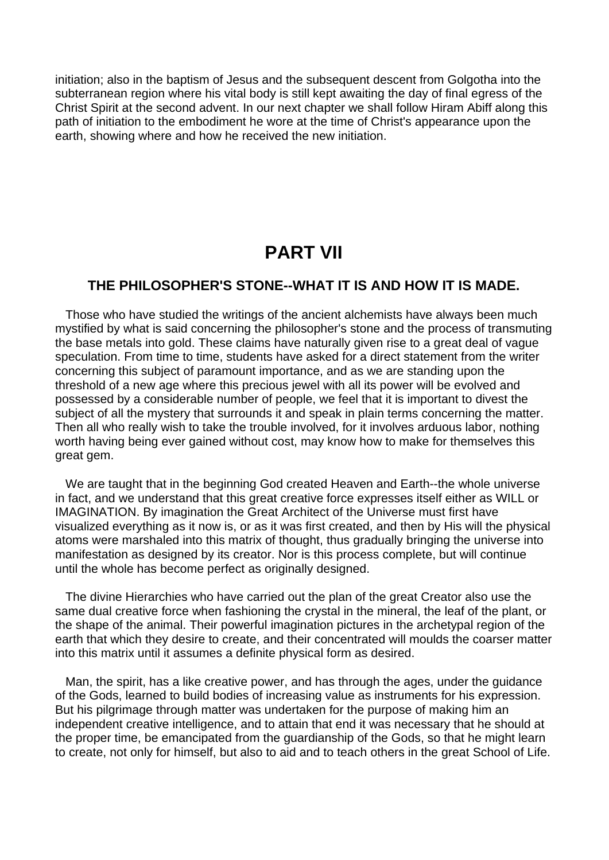initiation; also in the baptism of Jesus and the subsequent descent from Golgotha into the subterranean region where his vital body is still kept awaiting the day of final egress of the Christ Spirit at the second advent. In our next chapter we shall follow Hiram Abiff along this path of initiation to the embodiment he wore at the time of Christ's appearance upon the earth, showing where and how he received the new initiation.

# **PART VII**

### **THE PHILOSOPHER'S STONE--WHAT IT IS AND HOW IT IS MADE.**

 Those who have studied the writings of the ancient alchemists have always been much mystified by what is said concerning the philosopher's stone and the process of transmuting the base metals into gold. These claims have naturally given rise to a great deal of vague speculation. From time to time, students have asked for a direct statement from the writer concerning this subject of paramount importance, and as we are standing upon the threshold of a new age where this precious jewel with all its power will be evolved and possessed by a considerable number of people, we feel that it is important to divest the subject of all the mystery that surrounds it and speak in plain terms concerning the matter. Then all who really wish to take the trouble involved, for it involves arduous labor, nothing worth having being ever gained without cost, may know how to make for themselves this great gem.

 We are taught that in the beginning God created Heaven and Earth--the whole universe in fact, and we understand that this great creative force expresses itself either as WILL or IMAGINATION. By imagination the Great Architect of the Universe must first have visualized everything as it now is, or as it was first created, and then by His will the physical atoms were marshaled into this matrix of thought, thus gradually bringing the universe into manifestation as designed by its creator. Nor is this process complete, but will continue until the whole has become perfect as originally designed.

 The divine Hierarchies who have carried out the plan of the great Creator also use the same dual creative force when fashioning the crystal in the mineral, the leaf of the plant, or the shape of the animal. Their powerful imagination pictures in the archetypal region of the earth that which they desire to create, and their concentrated will moulds the coarser matter into this matrix until it assumes a definite physical form as desired.

 Man, the spirit, has a like creative power, and has through the ages, under the guidance of the Gods, learned to build bodies of increasing value as instruments for his expression. But his pilgrimage through matter was undertaken for the purpose of making him an independent creative intelligence, and to attain that end it was necessary that he should at the proper time, be emancipated from the guardianship of the Gods, so that he might learn to create, not only for himself, but also to aid and to teach others in the great School of Life.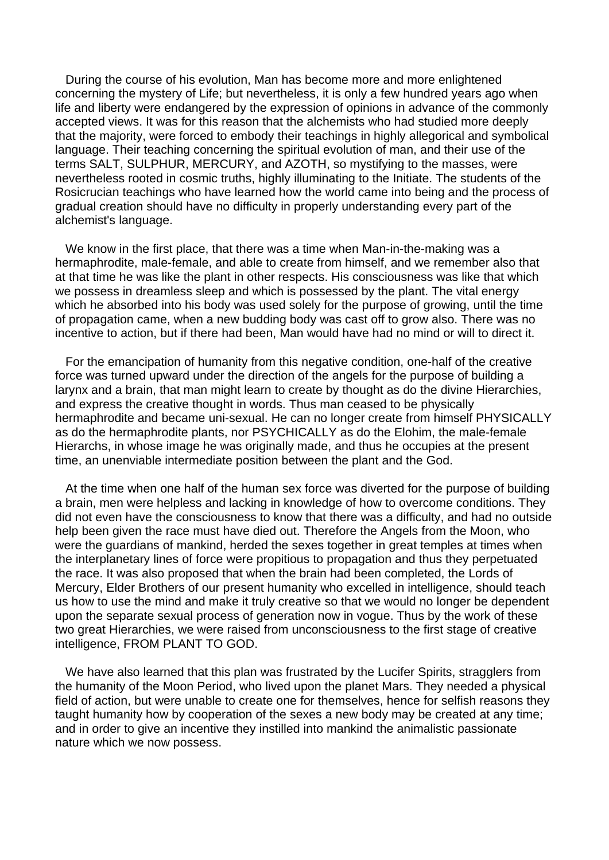During the course of his evolution, Man has become more and more enlightened concerning the mystery of Life; but nevertheless, it is only a few hundred years ago when life and liberty were endangered by the expression of opinions in advance of the commonly accepted views. It was for this reason that the alchemists who had studied more deeply that the majority, were forced to embody their teachings in highly allegorical and symbolical language. Their teaching concerning the spiritual evolution of man, and their use of the terms SALT, SULPHUR, MERCURY, and AZOTH, so mystifying to the masses, were nevertheless rooted in cosmic truths, highly illuminating to the Initiate. The students of the Rosicrucian teachings who have learned how the world came into being and the process of gradual creation should have no difficulty in properly understanding every part of the alchemist's language.

 We know in the first place, that there was a time when Man-in-the-making was a hermaphrodite, male-female, and able to create from himself, and we remember also that at that time he was like the plant in other respects. His consciousness was like that which we possess in dreamless sleep and which is possessed by the plant. The vital energy which he absorbed into his body was used solely for the purpose of growing, until the time of propagation came, when a new budding body was cast off to grow also. There was no incentive to action, but if there had been, Man would have had no mind or will to direct it.

 For the emancipation of humanity from this negative condition, one-half of the creative force was turned upward under the direction of the angels for the purpose of building a larynx and a brain, that man might learn to create by thought as do the divine Hierarchies, and express the creative thought in words. Thus man ceased to be physically hermaphrodite and became uni-sexual. He can no longer create from himself PHYSICALLY as do the hermaphrodite plants, nor PSYCHICALLY as do the Elohim, the male-female Hierarchs, in whose image he was originally made, and thus he occupies at the present time, an unenviable intermediate position between the plant and the God.

 At the time when one half of the human sex force was diverted for the purpose of building a brain, men were helpless and lacking in knowledge of how to overcome conditions. They did not even have the consciousness to know that there was a difficulty, and had no outside help been given the race must have died out. Therefore the Angels from the Moon, who were the guardians of mankind, herded the sexes together in great temples at times when the interplanetary lines of force were propitious to propagation and thus they perpetuated the race. It was also proposed that when the brain had been completed, the Lords of Mercury, Elder Brothers of our present humanity who excelled in intelligence, should teach us how to use the mind and make it truly creative so that we would no longer be dependent upon the separate sexual process of generation now in vogue. Thus by the work of these two great Hierarchies, we were raised from unconsciousness to the first stage of creative intelligence, FROM PLANT TO GOD.

We have also learned that this plan was frustrated by the Lucifer Spirits, stragglers from the humanity of the Moon Period, who lived upon the planet Mars. They needed a physical field of action, but were unable to create one for themselves, hence for selfish reasons they taught humanity how by cooperation of the sexes a new body may be created at any time; and in order to give an incentive they instilled into mankind the animalistic passionate nature which we now possess.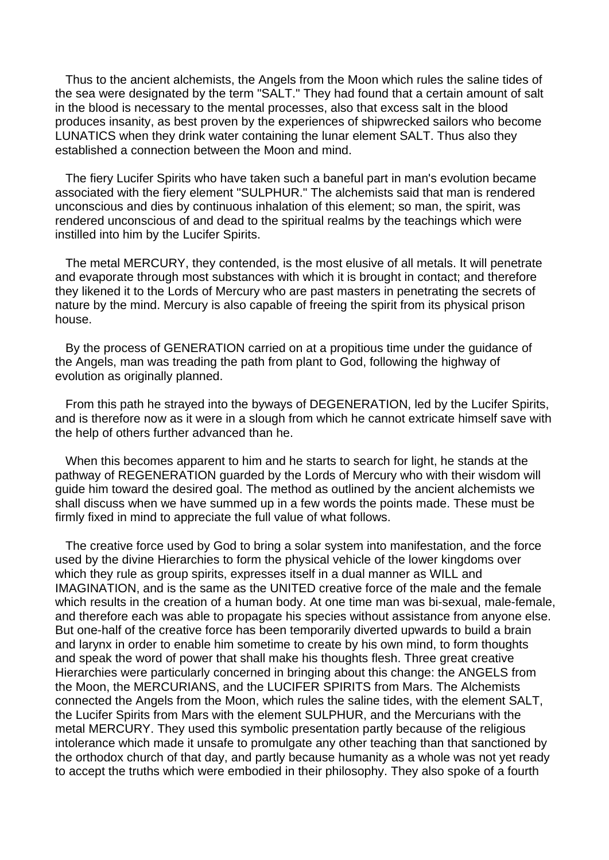Thus to the ancient alchemists, the Angels from the Moon which rules the saline tides of the sea were designated by the term "SALT." They had found that a certain amount of salt in the blood is necessary to the mental processes, also that excess salt in the blood produces insanity, as best proven by the experiences of shipwrecked sailors who become LUNATICS when they drink water containing the lunar element SALT. Thus also they established a connection between the Moon and mind.

 The fiery Lucifer Spirits who have taken such a baneful part in man's evolution became associated with the fiery element "SULPHUR." The alchemists said that man is rendered unconscious and dies by continuous inhalation of this element; so man, the spirit, was rendered unconscious of and dead to the spiritual realms by the teachings which were instilled into him by the Lucifer Spirits.

 The metal MERCURY, they contended, is the most elusive of all metals. It will penetrate and evaporate through most substances with which it is brought in contact; and therefore they likened it to the Lords of Mercury who are past masters in penetrating the secrets of nature by the mind. Mercury is also capable of freeing the spirit from its physical prison house.

 By the process of GENERATION carried on at a propitious time under the guidance of the Angels, man was treading the path from plant to God, following the highway of evolution as originally planned.

 From this path he strayed into the byways of DEGENERATION, led by the Lucifer Spirits, and is therefore now as it were in a slough from which he cannot extricate himself save with the help of others further advanced than he.

 When this becomes apparent to him and he starts to search for light, he stands at the pathway of REGENERATION guarded by the Lords of Mercury who with their wisdom will guide him toward the desired goal. The method as outlined by the ancient alchemists we shall discuss when we have summed up in a few words the points made. These must be firmly fixed in mind to appreciate the full value of what follows.

 The creative force used by God to bring a solar system into manifestation, and the force used by the divine Hierarchies to form the physical vehicle of the lower kingdoms over which they rule as group spirits, expresses itself in a dual manner as WILL and IMAGINATION, and is the same as the UNITED creative force of the male and the female which results in the creation of a human body. At one time man was bi-sexual, male-female, and therefore each was able to propagate his species without assistance from anyone else. But one-half of the creative force has been temporarily diverted upwards to build a brain and larynx in order to enable him sometime to create by his own mind, to form thoughts and speak the word of power that shall make his thoughts flesh. Three great creative Hierarchies were particularly concerned in bringing about this change: the ANGELS from the Moon, the MERCURIANS, and the LUCIFER SPIRITS from Mars. The Alchemists connected the Angels from the Moon, which rules the saline tides, with the element SALT, the Lucifer Spirits from Mars with the element SULPHUR, and the Mercurians with the metal MERCURY. They used this symbolic presentation partly because of the religious intolerance which made it unsafe to promulgate any other teaching than that sanctioned by the orthodox church of that day, and partly because humanity as a whole was not yet ready to accept the truths which were embodied in their philosophy. They also spoke of a fourth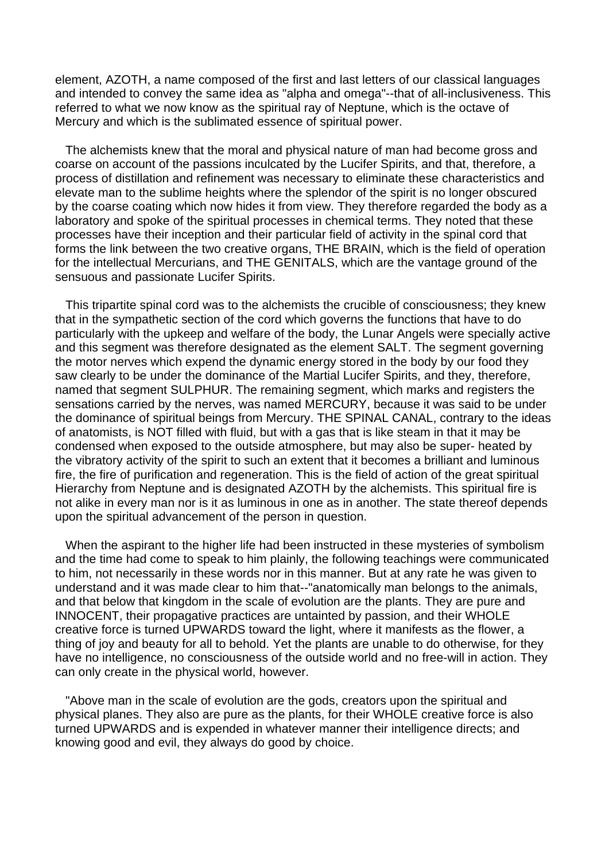element, AZOTH, a name composed of the first and last letters of our classical languages and intended to convey the same idea as "alpha and omega"--that of all-inclusiveness. This referred to what we now know as the spiritual ray of Neptune, which is the octave of Mercury and which is the sublimated essence of spiritual power.

 The alchemists knew that the moral and physical nature of man had become gross and coarse on account of the passions inculcated by the Lucifer Spirits, and that, therefore, a process of distillation and refinement was necessary to eliminate these characteristics and elevate man to the sublime heights where the splendor of the spirit is no longer obscured by the coarse coating which now hides it from view. They therefore regarded the body as a laboratory and spoke of the spiritual processes in chemical terms. They noted that these processes have their inception and their particular field of activity in the spinal cord that forms the link between the two creative organs, THE BRAIN, which is the field of operation for the intellectual Mercurians, and THE GENITALS, which are the vantage ground of the sensuous and passionate Lucifer Spirits.

 This tripartite spinal cord was to the alchemists the crucible of consciousness; they knew that in the sympathetic section of the cord which governs the functions that have to do particularly with the upkeep and welfare of the body, the Lunar Angels were specially active and this segment was therefore designated as the element SALT. The segment governing the motor nerves which expend the dynamic energy stored in the body by our food they saw clearly to be under the dominance of the Martial Lucifer Spirits, and they, therefore, named that segment SULPHUR. The remaining segment, which marks and registers the sensations carried by the nerves, was named MERCURY, because it was said to be under the dominance of spiritual beings from Mercury. THE SPINAL CANAL, contrary to the ideas of anatomists, is NOT filled with fluid, but with a gas that is like steam in that it may be condensed when exposed to the outside atmosphere, but may also be super- heated by the vibratory activity of the spirit to such an extent that it becomes a brilliant and luminous fire, the fire of purification and regeneration. This is the field of action of the great spiritual Hierarchy from Neptune and is designated AZOTH by the alchemists. This spiritual fire is not alike in every man nor is it as luminous in one as in another. The state thereof depends upon the spiritual advancement of the person in question.

 When the aspirant to the higher life had been instructed in these mysteries of symbolism and the time had come to speak to him plainly, the following teachings were communicated to him, not necessarily in these words nor in this manner. But at any rate he was given to understand and it was made clear to him that--"anatomically man belongs to the animals, and that below that kingdom in the scale of evolution are the plants. They are pure and INNOCENT, their propagative practices are untainted by passion, and their WHOLE creative force is turned UPWARDS toward the light, where it manifests as the flower, a thing of joy and beauty for all to behold. Yet the plants are unable to do otherwise, for they have no intelligence, no consciousness of the outside world and no free-will in action. They can only create in the physical world, however.

 "Above man in the scale of evolution are the gods, creators upon the spiritual and physical planes. They also are pure as the plants, for their WHOLE creative force is also turned UPWARDS and is expended in whatever manner their intelligence directs; and knowing good and evil, they always do good by choice.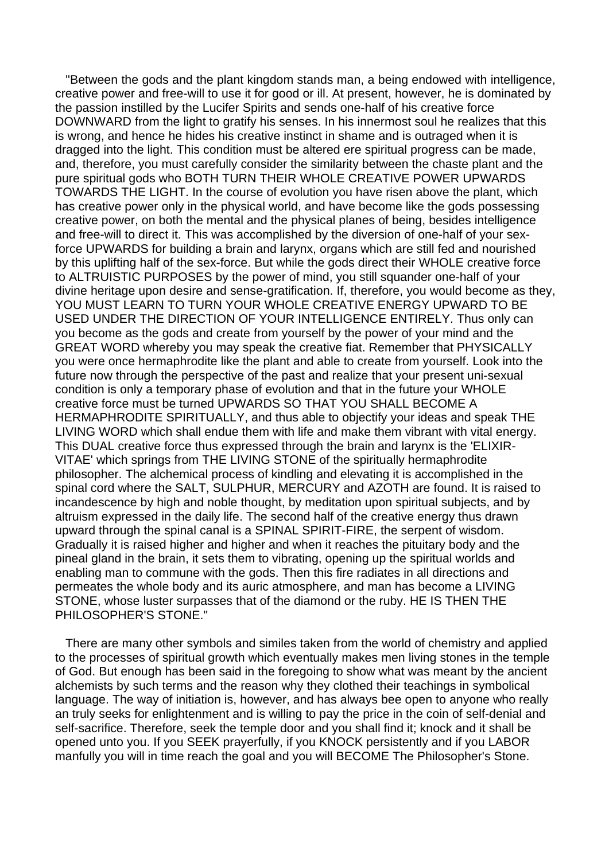"Between the gods and the plant kingdom stands man, a being endowed with intelligence, creative power and free-will to use it for good or ill. At present, however, he is dominated by the passion instilled by the Lucifer Spirits and sends one-half of his creative force DOWNWARD from the light to gratify his senses. In his innermost soul he realizes that this is wrong, and hence he hides his creative instinct in shame and is outraged when it is dragged into the light. This condition must be altered ere spiritual progress can be made, and, therefore, you must carefully consider the similarity between the chaste plant and the pure spiritual gods who BOTH TURN THEIR WHOLE CREATIVE POWER UPWARDS TOWARDS THE LIGHT. In the course of evolution you have risen above the plant, which has creative power only in the physical world, and have become like the gods possessing creative power, on both the mental and the physical planes of being, besides intelligence and free-will to direct it. This was accomplished by the diversion of one-half of your sexforce UPWARDS for building a brain and larynx, organs which are still fed and nourished by this uplifting half of the sex-force. But while the gods direct their WHOLE creative force to ALTRUISTIC PURPOSES by the power of mind, you still squander one-half of your divine heritage upon desire and sense-gratification. If, therefore, you would become as they, YOU MUST LEARN TO TURN YOUR WHOLE CREATIVE ENERGY UPWARD TO BE USED UNDER THE DIRECTION OF YOUR INTELLIGENCE ENTIRELY. Thus only can you become as the gods and create from yourself by the power of your mind and the GREAT WORD whereby you may speak the creative fiat. Remember that PHYSICALLY you were once hermaphrodite like the plant and able to create from yourself. Look into the future now through the perspective of the past and realize that your present uni-sexual condition is only a temporary phase of evolution and that in the future your WHOLE creative force must be turned UPWARDS SO THAT YOU SHALL BECOME A HERMAPHRODITE SPIRITUALLY, and thus able to objectify your ideas and speak THE LIVING WORD which shall endue them with life and make them vibrant with vital energy. This DUAL creative force thus expressed through the brain and larynx is the 'ELIXIR-VITAE' which springs from THE LIVING STONE of the spiritually hermaphrodite philosopher. The alchemical process of kindling and elevating it is accomplished in the spinal cord where the SALT, SULPHUR, MERCURY and AZOTH are found. It is raised to incandescence by high and noble thought, by meditation upon spiritual subjects, and by altruism expressed in the daily life. The second half of the creative energy thus drawn upward through the spinal canal is a SPINAL SPIRIT-FIRE, the serpent of wisdom. Gradually it is raised higher and higher and when it reaches the pituitary body and the pineal gland in the brain, it sets them to vibrating, opening up the spiritual worlds and enabling man to commune with the gods. Then this fire radiates in all directions and permeates the whole body and its auric atmosphere, and man has become a LIVING STONE, whose luster surpasses that of the diamond or the ruby. HE IS THEN THE PHILOSOPHER'S STONE."

 There are many other symbols and similes taken from the world of chemistry and applied to the processes of spiritual growth which eventually makes men living stones in the temple of God. But enough has been said in the foregoing to show what was meant by the ancient alchemists by such terms and the reason why they clothed their teachings in symbolical language. The way of initiation is, however, and has always bee open to anyone who really an truly seeks for enlightenment and is willing to pay the price in the coin of self-denial and self-sacrifice. Therefore, seek the temple door and you shall find it; knock and it shall be opened unto you. If you SEEK prayerfully, if you KNOCK persistently and if you LABOR manfully you will in time reach the goal and you will BECOME The Philosopher's Stone.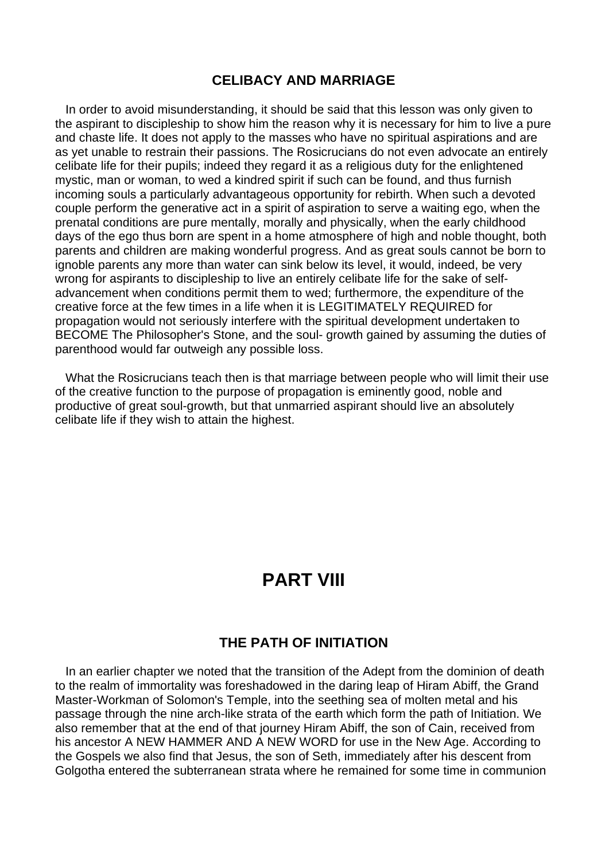### **CELIBACY AND MARRIAGE**

 In order to avoid misunderstanding, it should be said that this lesson was only given to the aspirant to discipleship to show him the reason why it is necessary for him to live a pure and chaste life. It does not apply to the masses who have no spiritual aspirations and are as yet unable to restrain their passions. The Rosicrucians do not even advocate an entirely celibate life for their pupils; indeed they regard it as a religious duty for the enlightened mystic, man or woman, to wed a kindred spirit if such can be found, and thus furnish incoming souls a particularly advantageous opportunity for rebirth. When such a devoted couple perform the generative act in a spirit of aspiration to serve a waiting ego, when the prenatal conditions are pure mentally, morally and physically, when the early childhood days of the ego thus born are spent in a home atmosphere of high and noble thought, both parents and children are making wonderful progress. And as great souls cannot be born to ignoble parents any more than water can sink below its level, it would, indeed, be very wrong for aspirants to discipleship to live an entirely celibate life for the sake of selfadvancement when conditions permit them to wed; furthermore, the expenditure of the creative force at the few times in a life when it is LEGITIMATELY REQUIRED for propagation would not seriously interfere with the spiritual development undertaken to BECOME The Philosopher's Stone, and the soul- growth gained by assuming the duties of parenthood would far outweigh any possible loss.

 What the Rosicrucians teach then is that marriage between people who will limit their use of the creative function to the purpose of propagation is eminently good, noble and productive of great soul-growth, but that unmarried aspirant should live an absolutely celibate life if they wish to attain the highest.

# **PART VIII**

### **THE PATH OF INITIATION**

 In an earlier chapter we noted that the transition of the Adept from the dominion of death to the realm of immortality was foreshadowed in the daring leap of Hiram Abiff, the Grand Master-Workman of Solomon's Temple, into the seething sea of molten metal and his passage through the nine arch-like strata of the earth which form the path of Initiation. We also remember that at the end of that journey Hiram Abiff, the son of Cain, received from his ancestor A NEW HAMMER AND A NEW WORD for use in the New Age. According to the Gospels we also find that Jesus, the son of Seth, immediately after his descent from Golgotha entered the subterranean strata where he remained for some time in communion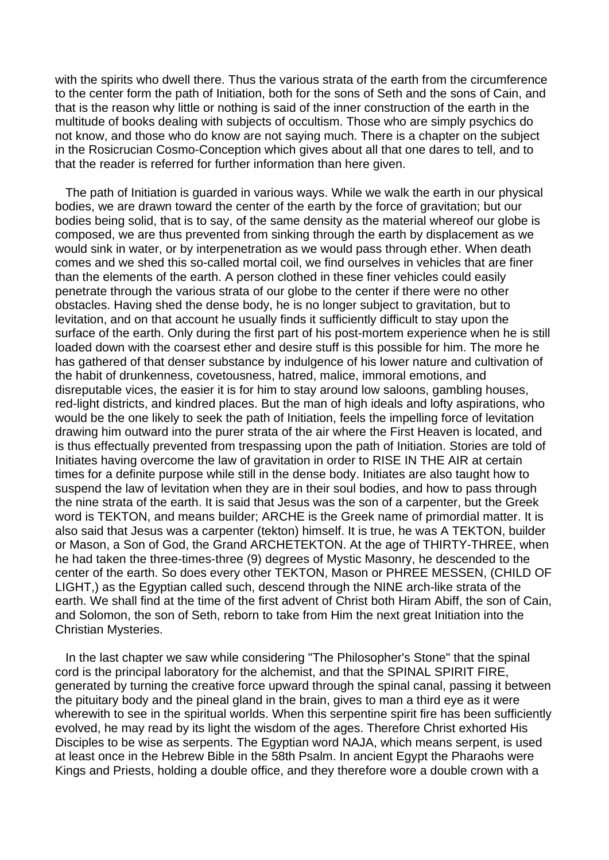with the spirits who dwell there. Thus the various strata of the earth from the circumference to the center form the path of Initiation, both for the sons of Seth and the sons of Cain, and that is the reason why little or nothing is said of the inner construction of the earth in the multitude of books dealing with subjects of occultism. Those who are simply psychics do not know, and those who do know are not saying much. There is a chapter on the subject in the Rosicrucian Cosmo-Conception which gives about all that one dares to tell, and to that the reader is referred for further information than here given.

 The path of Initiation is guarded in various ways. While we walk the earth in our physical bodies, we are drawn toward the center of the earth by the force of gravitation; but our bodies being solid, that is to say, of the same density as the material whereof our globe is composed, we are thus prevented from sinking through the earth by displacement as we would sink in water, or by interpenetration as we would pass through ether. When death comes and we shed this so-called mortal coil, we find ourselves in vehicles that are finer than the elements of the earth. A person clothed in these finer vehicles could easily penetrate through the various strata of our globe to the center if there were no other obstacles. Having shed the dense body, he is no longer subject to gravitation, but to levitation, and on that account he usually finds it sufficiently difficult to stay upon the surface of the earth. Only during the first part of his post-mortem experience when he is still loaded down with the coarsest ether and desire stuff is this possible for him. The more he has gathered of that denser substance by indulgence of his lower nature and cultivation of the habit of drunkenness, covetousness, hatred, malice, immoral emotions, and disreputable vices, the easier it is for him to stay around low saloons, gambling houses, red-light districts, and kindred places. But the man of high ideals and lofty aspirations, who would be the one likely to seek the path of Initiation, feels the impelling force of levitation drawing him outward into the purer strata of the air where the First Heaven is located, and is thus effectually prevented from trespassing upon the path of Initiation. Stories are told of Initiates having overcome the law of gravitation in order to RISE IN THE AIR at certain times for a definite purpose while still in the dense body. Initiates are also taught how to suspend the law of levitation when they are in their soul bodies, and how to pass through the nine strata of the earth. It is said that Jesus was the son of a carpenter, but the Greek word is TEKTON, and means builder; ARCHE is the Greek name of primordial matter. It is also said that Jesus was a carpenter (tekton) himself. It is true, he was A TEKTON, builder or Mason, a Son of God, the Grand ARCHETEKTON. At the age of THIRTY-THREE, when he had taken the three-times-three (9) degrees of Mystic Masonry, he descended to the center of the earth. So does every other TEKTON, Mason or PHREE MESSEN, (CHILD OF LIGHT,) as the Egyptian called such, descend through the NINE arch-like strata of the earth. We shall find at the time of the first advent of Christ both Hiram Abiff, the son of Cain, and Solomon, the son of Seth, reborn to take from Him the next great Initiation into the Christian Mysteries.

 In the last chapter we saw while considering "The Philosopher's Stone" that the spinal cord is the principal laboratory for the alchemist, and that the SPINAL SPIRIT FIRE, generated by turning the creative force upward through the spinal canal, passing it between the pituitary body and the pineal gland in the brain, gives to man a third eye as it were wherewith to see in the spiritual worlds. When this serpentine spirit fire has been sufficiently evolved, he may read by its light the wisdom of the ages. Therefore Christ exhorted His Disciples to be wise as serpents. The Egyptian word NAJA, which means serpent, is used at least once in the Hebrew Bible in the 58th Psalm. In ancient Egypt the Pharaohs were Kings and Priests, holding a double office, and they therefore wore a double crown with a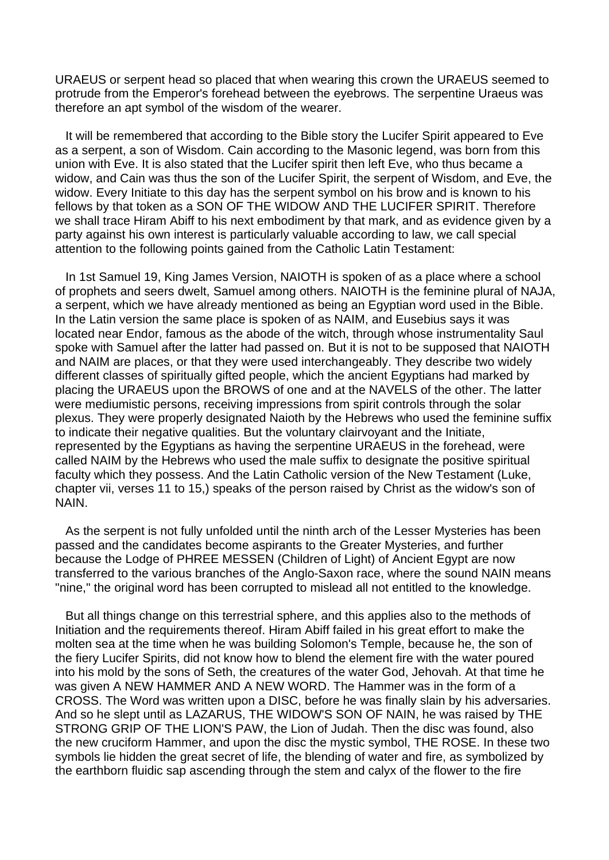URAEUS or serpent head so placed that when wearing this crown the URAEUS seemed to protrude from the Emperor's forehead between the eyebrows. The serpentine Uraeus was therefore an apt symbol of the wisdom of the wearer.

 It will be remembered that according to the Bible story the Lucifer Spirit appeared to Eve as a serpent, a son of Wisdom. Cain according to the Masonic legend, was born from this union with Eve. It is also stated that the Lucifer spirit then left Eve, who thus became a widow, and Cain was thus the son of the Lucifer Spirit, the serpent of Wisdom, and Eve, the widow. Every Initiate to this day has the serpent symbol on his brow and is known to his fellows by that token as a SON OF THE WIDOW AND THE LUCIFER SPIRIT. Therefore we shall trace Hiram Abiff to his next embodiment by that mark, and as evidence given by a party against his own interest is particularly valuable according to law, we call special attention to the following points gained from the Catholic Latin Testament:

 In 1st Samuel 19, King James Version, NAIOTH is spoken of as a place where a school of prophets and seers dwelt, Samuel among others. NAIOTH is the feminine plural of NAJA, a serpent, which we have already mentioned as being an Egyptian word used in the Bible. In the Latin version the same place is spoken of as NAIM, and Eusebius says it was located near Endor, famous as the abode of the witch, through whose instrumentality Saul spoke with Samuel after the latter had passed on. But it is not to be supposed that NAIOTH and NAIM are places, or that they were used interchangeably. They describe two widely different classes of spiritually gifted people, which the ancient Egyptians had marked by placing the URAEUS upon the BROWS of one and at the NAVELS of the other. The latter were mediumistic persons, receiving impressions from spirit controls through the solar plexus. They were properly designated Naioth by the Hebrews who used the feminine suffix to indicate their negative qualities. But the voluntary clairvoyant and the Initiate, represented by the Egyptians as having the serpentine URAEUS in the forehead, were called NAIM by the Hebrews who used the male suffix to designate the positive spiritual faculty which they possess. And the Latin Catholic version of the New Testament (Luke, chapter vii, verses 11 to 15,) speaks of the person raised by Christ as the widow's son of NAIN.

 As the serpent is not fully unfolded until the ninth arch of the Lesser Mysteries has been passed and the candidates become aspirants to the Greater Mysteries, and further because the Lodge of PHREE MESSEN (Children of Light) of Ancient Egypt are now transferred to the various branches of the Anglo-Saxon race, where the sound NAIN means "nine," the original word has been corrupted to mislead all not entitled to the knowledge.

 But all things change on this terrestrial sphere, and this applies also to the methods of Initiation and the requirements thereof. Hiram Abiff failed in his great effort to make the molten sea at the time when he was building Solomon's Temple, because he, the son of the fiery Lucifer Spirits, did not know how to blend the element fire with the water poured into his mold by the sons of Seth, the creatures of the water God, Jehovah. At that time he was given A NEW HAMMER AND A NEW WORD. The Hammer was in the form of a CROSS. The Word was written upon a DISC, before he was finally slain by his adversaries. And so he slept until as LAZARUS, THE WIDOW'S SON OF NAIN, he was raised by THE STRONG GRIP OF THE LION'S PAW, the Lion of Judah. Then the disc was found, also the new cruciform Hammer, and upon the disc the mystic symbol, THE ROSE. In these two symbols lie hidden the great secret of life, the blending of water and fire, as symbolized by the earthborn fluidic sap ascending through the stem and calyx of the flower to the fire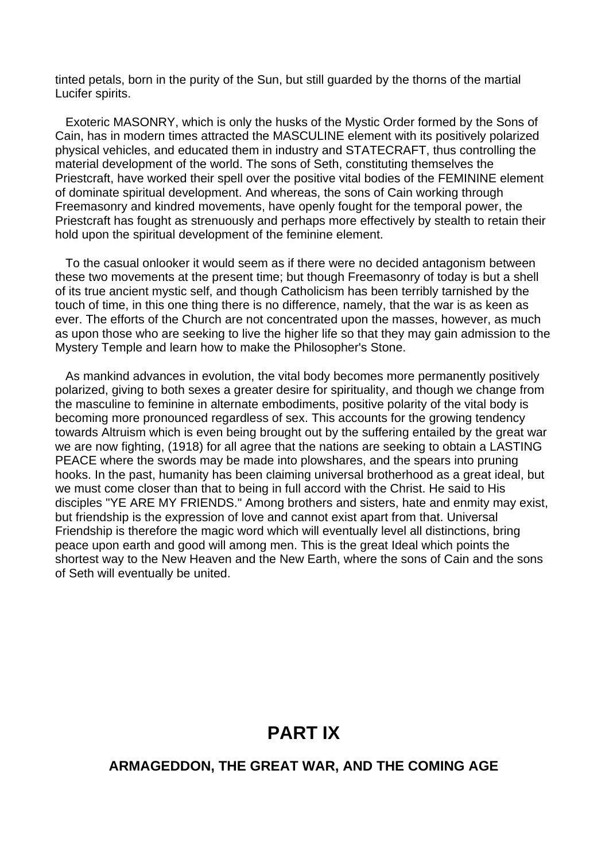tinted petals, born in the purity of the Sun, but still guarded by the thorns of the martial Lucifer spirits.

 Exoteric MASONRY, which is only the husks of the Mystic Order formed by the Sons of Cain, has in modern times attracted the MASCULINE element with its positively polarized physical vehicles, and educated them in industry and STATECRAFT, thus controlling the material development of the world. The sons of Seth, constituting themselves the Priestcraft, have worked their spell over the positive vital bodies of the FEMININE element of dominate spiritual development. And whereas, the sons of Cain working through Freemasonry and kindred movements, have openly fought for the temporal power, the Priestcraft has fought as strenuously and perhaps more effectively by stealth to retain their hold upon the spiritual development of the feminine element.

 To the casual onlooker it would seem as if there were no decided antagonism between these two movements at the present time; but though Freemasonry of today is but a shell of its true ancient mystic self, and though Catholicism has been terribly tarnished by the touch of time, in this one thing there is no difference, namely, that the war is as keen as ever. The efforts of the Church are not concentrated upon the masses, however, as much as upon those who are seeking to live the higher life so that they may gain admission to the Mystery Temple and learn how to make the Philosopher's Stone.

 As mankind advances in evolution, the vital body becomes more permanently positively polarized, giving to both sexes a greater desire for spirituality, and though we change from the masculine to feminine in alternate embodiments, positive polarity of the vital body is becoming more pronounced regardless of sex. This accounts for the growing tendency towards Altruism which is even being brought out by the suffering entailed by the great war we are now fighting, (1918) for all agree that the nations are seeking to obtain a LASTING PEACE where the swords may be made into plowshares, and the spears into pruning hooks. In the past, humanity has been claiming universal brotherhood as a great ideal, but we must come closer than that to being in full accord with the Christ. He said to His disciples "YE ARE MY FRIENDS." Among brothers and sisters, hate and enmity may exist, but friendship is the expression of love and cannot exist apart from that. Universal Friendship is therefore the magic word which will eventually level all distinctions, bring peace upon earth and good will among men. This is the great Ideal which points the shortest way to the New Heaven and the New Earth, where the sons of Cain and the sons of Seth will eventually be united.

# **PART IX**

### **ARMAGEDDON, THE GREAT WAR, AND THE COMING AGE**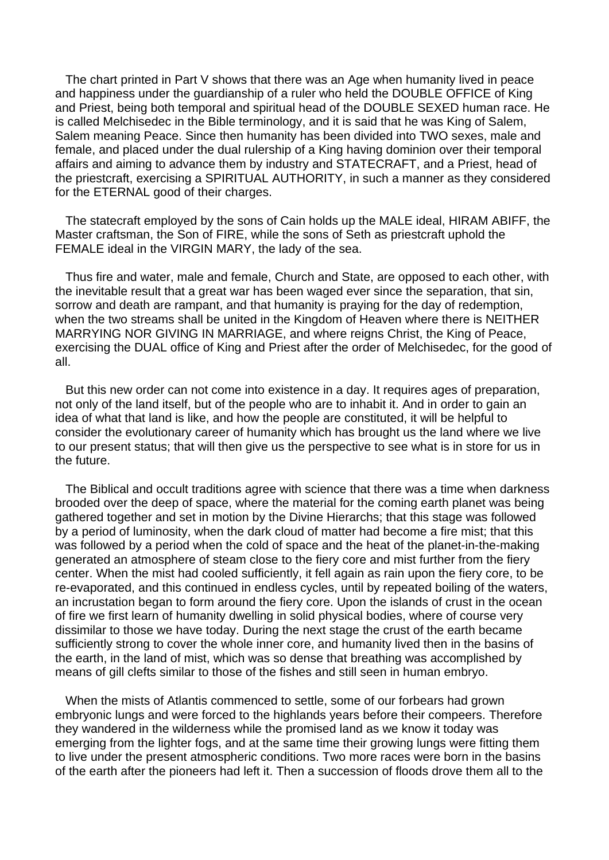The chart printed in Part V shows that there was an Age when humanity lived in peace and happiness under the guardianship of a ruler who held the DOUBLE OFFICE of King and Priest, being both temporal and spiritual head of the DOUBLE SEXED human race. He is called Melchisedec in the Bible terminology, and it is said that he was King of Salem, Salem meaning Peace. Since then humanity has been divided into TWO sexes, male and female, and placed under the dual rulership of a King having dominion over their temporal affairs and aiming to advance them by industry and STATECRAFT, and a Priest, head of the priestcraft, exercising a SPIRITUAL AUTHORITY, in such a manner as they considered for the ETERNAL good of their charges.

 The statecraft employed by the sons of Cain holds up the MALE ideal, HIRAM ABIFF, the Master craftsman, the Son of FIRE, while the sons of Seth as priestcraft uphold the FEMALE ideal in the VIRGIN MARY, the lady of the sea.

 Thus fire and water, male and female, Church and State, are opposed to each other, with the inevitable result that a great war has been waged ever since the separation, that sin, sorrow and death are rampant, and that humanity is praying for the day of redemption, when the two streams shall be united in the Kingdom of Heaven where there is NEITHER MARRYING NOR GIVING IN MARRIAGE, and where reigns Christ, the King of Peace, exercising the DUAL office of King and Priest after the order of Melchisedec, for the good of all.

 But this new order can not come into existence in a day. It requires ages of preparation, not only of the land itself, but of the people who are to inhabit it. And in order to gain an idea of what that land is like, and how the people are constituted, it will be helpful to consider the evolutionary career of humanity which has brought us the land where we live to our present status; that will then give us the perspective to see what is in store for us in the future.

 The Biblical and occult traditions agree with science that there was a time when darkness brooded over the deep of space, where the material for the coming earth planet was being gathered together and set in motion by the Divine Hierarchs; that this stage was followed by a period of luminosity, when the dark cloud of matter had become a fire mist; that this was followed by a period when the cold of space and the heat of the planet-in-the-making generated an atmosphere of steam close to the fiery core and mist further from the fiery center. When the mist had cooled sufficiently, it fell again as rain upon the fiery core, to be re-evaporated, and this continued in endless cycles, until by repeated boiling of the waters, an incrustation began to form around the fiery core. Upon the islands of crust in the ocean of fire we first learn of humanity dwelling in solid physical bodies, where of course very dissimilar to those we have today. During the next stage the crust of the earth became sufficiently strong to cover the whole inner core, and humanity lived then in the basins of the earth, in the land of mist, which was so dense that breathing was accomplished by means of gill clefts similar to those of the fishes and still seen in human embryo.

 When the mists of Atlantis commenced to settle, some of our forbears had grown embryonic lungs and were forced to the highlands years before their compeers. Therefore they wandered in the wilderness while the promised land as we know it today was emerging from the lighter fogs, and at the same time their growing lungs were fitting them to live under the present atmospheric conditions. Two more races were born in the basins of the earth after the pioneers had left it. Then a succession of floods drove them all to the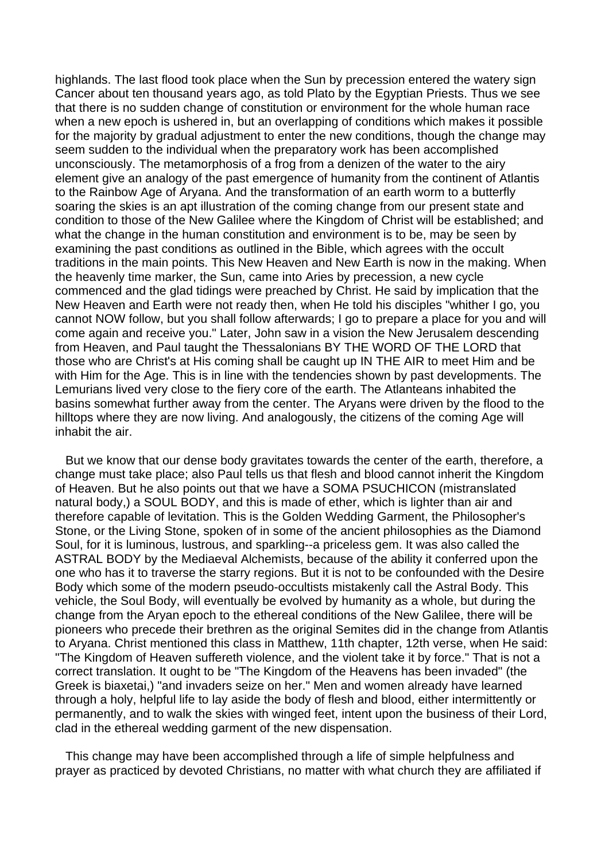highlands. The last flood took place when the Sun by precession entered the watery sign Cancer about ten thousand years ago, as told Plato by the Egyptian Priests. Thus we see that there is no sudden change of constitution or environment for the whole human race when a new epoch is ushered in, but an overlapping of conditions which makes it possible for the majority by gradual adjustment to enter the new conditions, though the change may seem sudden to the individual when the preparatory work has been accomplished unconsciously. The metamorphosis of a frog from a denizen of the water to the airy element give an analogy of the past emergence of humanity from the continent of Atlantis to the Rainbow Age of Aryana. And the transformation of an earth worm to a butterfly soaring the skies is an apt illustration of the coming change from our present state and condition to those of the New Galilee where the Kingdom of Christ will be established; and what the change in the human constitution and environment is to be, may be seen by examining the past conditions as outlined in the Bible, which agrees with the occult traditions in the main points. This New Heaven and New Earth is now in the making. When the heavenly time marker, the Sun, came into Aries by precession, a new cycle commenced and the glad tidings were preached by Christ. He said by implication that the New Heaven and Earth were not ready then, when He told his disciples "whither I go, you cannot NOW follow, but you shall follow afterwards; I go to prepare a place for you and will come again and receive you." Later, John saw in a vision the New Jerusalem descending from Heaven, and Paul taught the Thessalonians BY THE WORD OF THE LORD that those who are Christ's at His coming shall be caught up IN THE AIR to meet Him and be with Him for the Age. This is in line with the tendencies shown by past developments. The Lemurians lived very close to the fiery core of the earth. The Atlanteans inhabited the basins somewhat further away from the center. The Aryans were driven by the flood to the hilltops where they are now living. And analogously, the citizens of the coming Age will inhabit the air.

 But we know that our dense body gravitates towards the center of the earth, therefore, a change must take place; also Paul tells us that flesh and blood cannot inherit the Kingdom of Heaven. But he also points out that we have a SOMA PSUCHICON (mistranslated natural body,) a SOUL BODY, and this is made of ether, which is lighter than air and therefore capable of levitation. This is the Golden Wedding Garment, the Philosopher's Stone, or the Living Stone, spoken of in some of the ancient philosophies as the Diamond Soul, for it is luminous, lustrous, and sparkling--a priceless gem. It was also called the ASTRAL BODY by the Mediaeval Alchemists, because of the ability it conferred upon the one who has it to traverse the starry regions. But it is not to be confounded with the Desire Body which some of the modern pseudo-occultists mistakenly call the Astral Body. This vehicle, the Soul Body, will eventually be evolved by humanity as a whole, but during the change from the Aryan epoch to the ethereal conditions of the New Galilee, there will be pioneers who precede their brethren as the original Semites did in the change from Atlantis to Aryana. Christ mentioned this class in Matthew, 11th chapter, 12th verse, when He said: "The Kingdom of Heaven suffereth violence, and the violent take it by force." That is not a correct translation. It ought to be "The Kingdom of the Heavens has been invaded" (the Greek is biaxetai,) "and invaders seize on her." Men and women already have learned through a holy, helpful life to lay aside the body of flesh and blood, either intermittently or permanently, and to walk the skies with winged feet, intent upon the business of their Lord, clad in the ethereal wedding garment of the new dispensation.

 This change may have been accomplished through a life of simple helpfulness and prayer as practiced by devoted Christians, no matter with what church they are affiliated if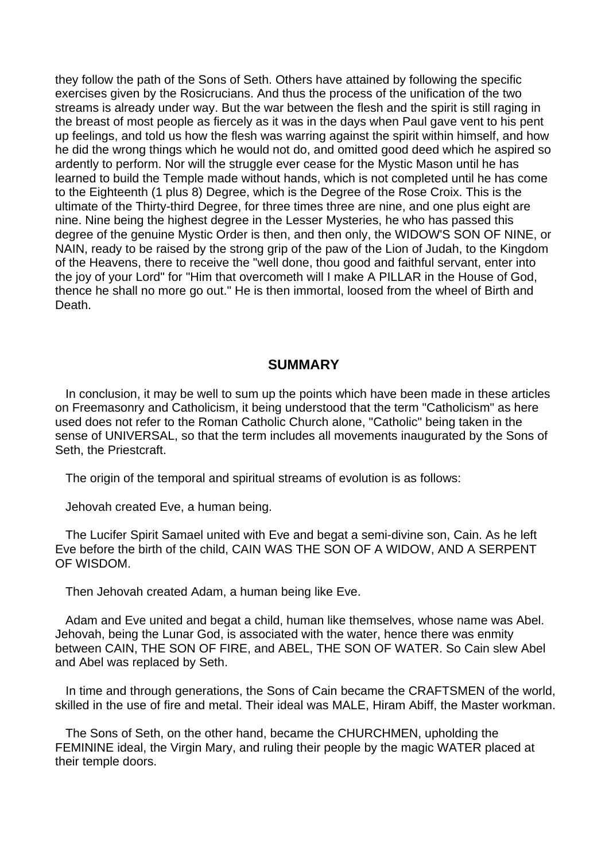they follow the path of the Sons of Seth. Others have attained by following the specific exercises given by the Rosicrucians. And thus the process of the unification of the two streams is already under way. But the war between the flesh and the spirit is still raging in the breast of most people as fiercely as it was in the days when Paul gave vent to his pent up feelings, and told us how the flesh was warring against the spirit within himself, and how he did the wrong things which he would not do, and omitted good deed which he aspired so ardently to perform. Nor will the struggle ever cease for the Mystic Mason until he has learned to build the Temple made without hands, which is not completed until he has come to the Eighteenth (1 plus 8) Degree, which is the Degree of the Rose Croix. This is the ultimate of the Thirty-third Degree, for three times three are nine, and one plus eight are nine. Nine being the highest degree in the Lesser Mysteries, he who has passed this degree of the genuine Mystic Order is then, and then only, the WIDOW'S SON OF NINE, or NAIN, ready to be raised by the strong grip of the paw of the Lion of Judah, to the Kingdom of the Heavens, there to receive the "well done, thou good and faithful servant, enter into the joy of your Lord" for "Him that overcometh will I make A PILLAR in the House of God, thence he shall no more go out." He is then immortal, loosed from the wheel of Birth and Death.

### **SUMMARY**

 In conclusion, it may be well to sum up the points which have been made in these articles on Freemasonry and Catholicism, it being understood that the term "Catholicism" as here used does not refer to the Roman Catholic Church alone, "Catholic" being taken in the sense of UNIVERSAL, so that the term includes all movements inaugurated by the Sons of Seth, the Priestcraft.

The origin of the temporal and spiritual streams of evolution is as follows:

Jehovah created Eve, a human being.

 The Lucifer Spirit Samael united with Eve and begat a semi-divine son, Cain. As he left Eve before the birth of the child, CAIN WAS THE SON OF A WIDOW, AND A SERPENT OF WISDOM.

Then Jehovah created Adam, a human being like Eve.

 Adam and Eve united and begat a child, human like themselves, whose name was Abel. Jehovah, being the Lunar God, is associated with the water, hence there was enmity between CAIN, THE SON OF FIRE, and ABEL, THE SON OF WATER. So Cain slew Abel and Abel was replaced by Seth.

 In time and through generations, the Sons of Cain became the CRAFTSMEN of the world, skilled in the use of fire and metal. Their ideal was MALE, Hiram Abiff, the Master workman.

 The Sons of Seth, on the other hand, became the CHURCHMEN, upholding the FEMININE ideal, the Virgin Mary, and ruling their people by the magic WATER placed at their temple doors.